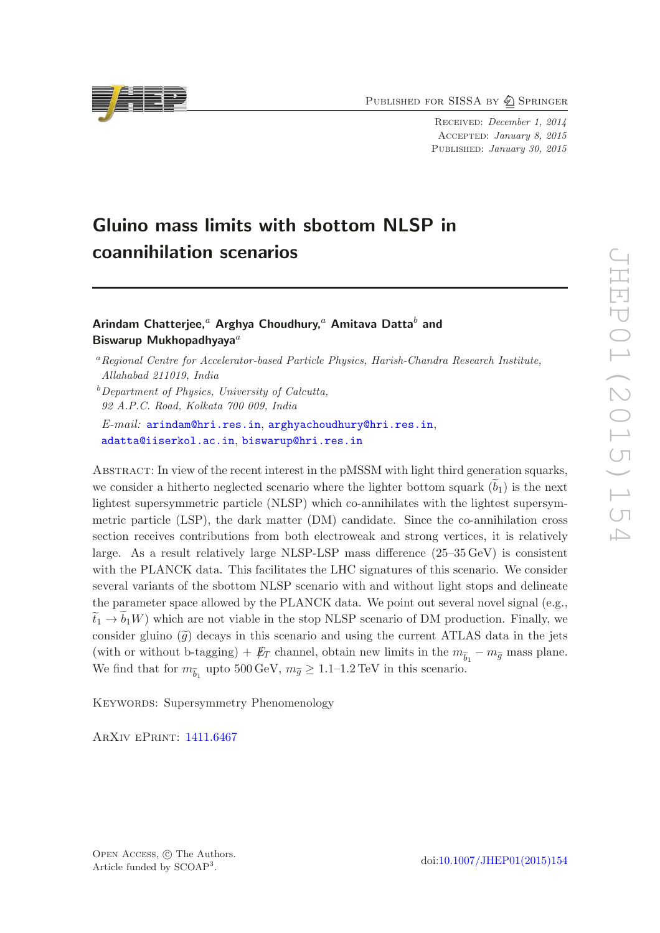PUBLISHED FOR SISSA BY 2 SPRINGER

Received: December 1, 2014 Accepted: January 8, 2015 PUBLISHED: January 30, 2015

# Gluino mass limits with sbottom NLSP in coannihilation scenarios

### Arindam Chatterjee,<sup>a</sup> Arghya Choudhury,<sup>a</sup> Amitava Datta<sup>b</sup> and Biswarup Mukhopadhyaya $^a$

 $b$ Department of Physics, University of Calcutta, 92 A.P.C. Road, Kolkata 700 009, India

E-mail: [arindam@hri.res.in](mailto:arindam@hri.res.in), [arghyachoudhury@hri.res.in](mailto:arghyachoudhury@hri.res.in), [adatta@iiserkol.ac.in](mailto:adatta@iiserkol.ac.in), [biswarup@hri.res.in](mailto:biswarup@hri.res.in)

Abstract: In view of the recent interest in the pMSSM with light third generation squarks, we consider a hitherto neglected scenario where the lighter bottom squark  $(b_1)$  is the next lightest supersymmetric particle (NLSP) which co-annihilates with the lightest supersymmetric particle (LSP), the dark matter (DM) candidate. Since the co-annihilation cross section receives contributions from both electroweak and strong vertices, it is relatively large. As a result relatively large NLSP-LSP mass difference (25–35 GeV) is consistent with the PLANCK data. This facilitates the LHC signatures of this scenario. We consider several variants of the sbottom NLSP scenario with and without light stops and delineate the parameter space allowed by the PLANCK data. We point out several novel signal (e.g.,  $\tilde{t}_1 \rightarrow b_1W$ ) which are not viable in the stop NLSP scenario of DM production. Finally, we consider gluino  $(\tilde{g})$  decays in this scenario and using the current ATLAS data in the jets (with or without b-tagging) +  $\not\hspace{-1.2mm}E_T$  channel, obtain new limits in the  $m_{\widetilde{b}_1} - m_{\widetilde{g}}$  mass plane. We find that for  $m_{\widetilde{b}_1}$  upto 500 GeV,  $m_{\widetilde{g}} \geq 1.1$ –1.2 TeV in this scenario.

KEYWORDS: Supersymmetry Phenomenology

ArXiv ePrint: [1411.6467](http://arxiv.org/abs/1411.6467)



<sup>a</sup>Regional Centre for Accelerator-based Particle Physics, Harish-Chandra Research Institute, Allahabad 211019, India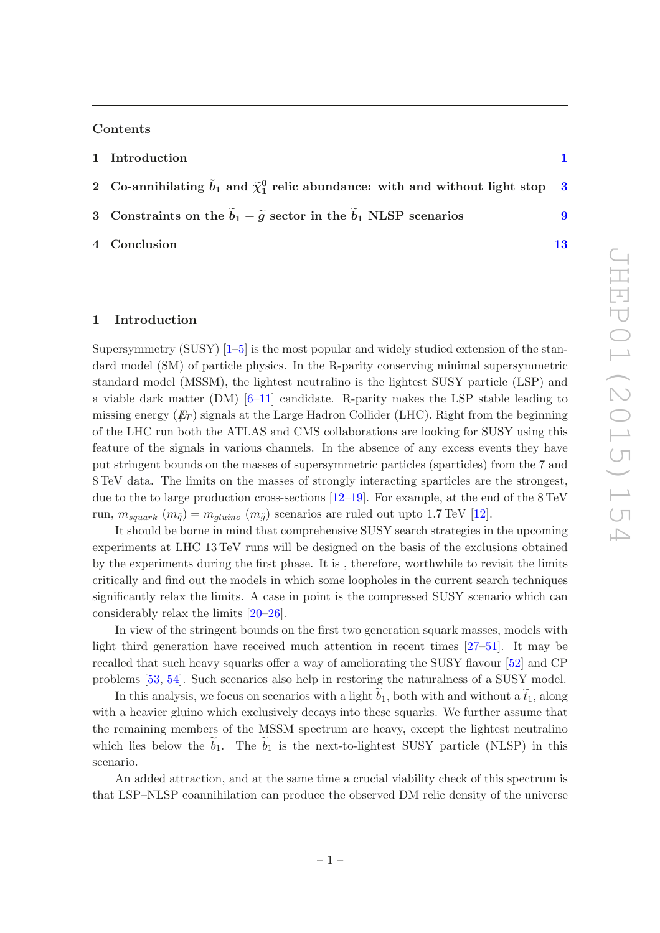#### Contents

#### [1](#page-1-0) Introduction 1 1 and 1 and 1 and 1 and 1 and 1 and 1 and 1 and 1 and 1 and 1 and 1 and 1 and 1 and 1 and 1 and 1 and 1 and 1 and 1 and 1 and 1 and 1 and 1 and 1 and 1 and 1 and 1 and 1 and 1 and 1 and 1 and 1 and 1 and 1

- 2 Co-annihilating  $\tilde{b}_1$  and  $\tilde{\chi}^0_1$  relic abundance: with and without light stop [3](#page-3-0)
- 3 Constraints on the  $\tilde{b}_1 \tilde{g}$  sector in the  $\tilde{b}_1$  NLSP scenarios [9](#page-9-0)
- 4 Conclusion [13](#page-13-0)

#### <span id="page-1-0"></span>1 Introduction

Supersymmetry  $(SUSY)$  [\[1](#page-14-0)[–5](#page-14-1)] is the most popular and widely studied extension of the standard model (SM) of particle physics. In the R-parity conserving minimal supersymmetric standard model (MSSM), the lightest neutralino is the lightest SUSY particle (LSP) and a viable dark matter (DM) [\[6](#page-15-0)[–11\]](#page-15-1) candidate. R-parity makes the LSP stable leading to missing energy  $(E_T)$  signals at the Large Hadron Collider (LHC). Right from the beginning of the LHC run both the ATLAS and CMS collaborations are looking for SUSY using this feature of the signals in various channels. In the absence of any excess events they have put stringent bounds on the masses of supersymmetric particles (sparticles) from the 7 and 8 TeV data. The limits on the masses of strongly interacting sparticles are the strongest, due to the to large production cross-sections [\[12](#page-15-2)[–19\]](#page-15-3). For example, at the end of the 8 TeV run,  $m_{square}(m_{\tilde{q}}) = m_{gluino}(m_{\tilde{q}})$  scenarios are ruled out upto 1.7 TeV [\[12](#page-15-2)].

It should be borne in mind that comprehensive SUSY search strategies in the upcoming experiments at LHC 13 TeV runs will be designed on the basis of the exclusions obtained by the experiments during the first phase. It is , therefore, worthwhile to revisit the limits critically and find out the models in which some loopholes in the current search techniques significantly relax the limits. A case in point is the compressed SUSY scenario which can considerably relax the limits [\[20](#page-15-4)[–26\]](#page-16-0).

In view of the stringent bounds on the first two generation squark masses, models with light third generation have received much attention in recent times [\[27](#page-16-1)[–51\]](#page-17-0). It may be recalled that such heavy squarks offer a way of ameliorating the SUSY flavour [\[52\]](#page-17-1) and CP problems [\[53](#page-17-2), [54\]](#page-17-3). Such scenarios also help in restoring the naturalness of a SUSY model.

In this analysis, we focus on scenarios with a light  $b_1$ , both with and without a  $\tilde{t}_1$ , along with a heavier gluino which exclusively decays into these squarks. We further assume that the remaining members of the MSSM spectrum are heavy, except the lightest neutralino which lies below the  $b_1$ . The  $b_1$  is the next-to-lightest SUSY particle (NLSP) in this scenario.

An added attraction, and at the same time a crucial viability check of this spectrum is that LSP–NLSP coannihilation can produce the observed DM relic density of the universe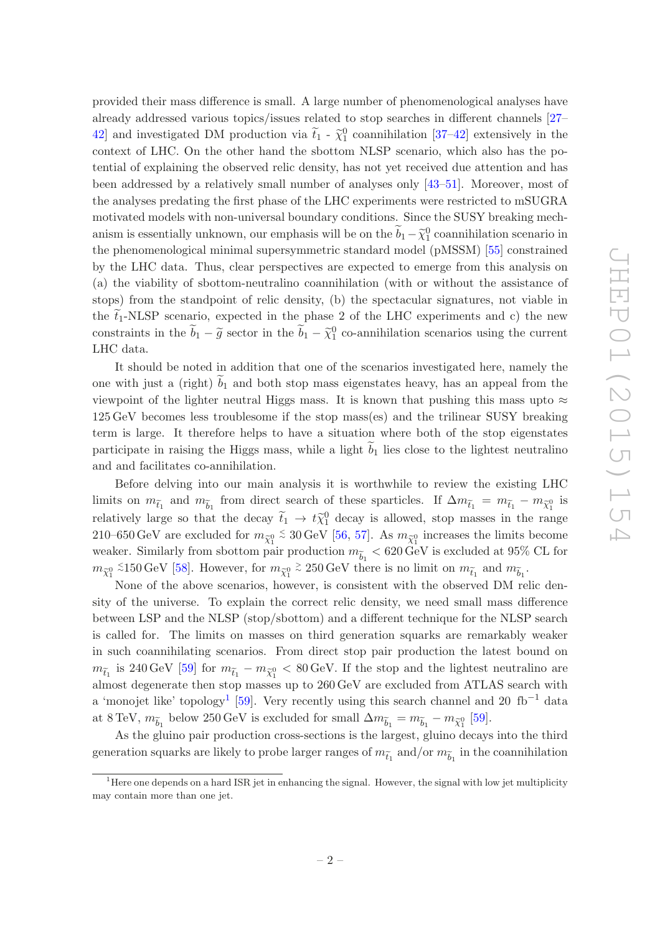provided their mass difference is small. A large number of phenomenological analyses have already addressed various topics/issues related to stop searches in different channels [\[27](#page-16-1)– [42](#page-16-2)] and investigated DM production via  $\tilde{t}_1$  -  $\tilde{\chi}_1^0$  coannihilation [\[37](#page-16-3)[–42\]](#page-16-2) extensively in the context of LHC. On the other hand the sbottom NLSP scenario, which also has the potential of explaining the observed relic density, has not yet received due attention and has been addressed by a relatively small number of analyses only [\[43](#page-17-4)[–51](#page-17-0)]. Moreover, most of the analyses predating the first phase of the LHC experiments were restricted to mSUGRA motivated models with non-universal boundary conditions. Since the SUSY breaking mechanism is essentially unknown, our emphasis will be on the  $\widetilde{b}_1 - \widetilde{\chi}_1^0$  coannihilation scenario in the phenomenological minimal supersymmetric standard model (pMSSM) [\[55](#page-17-5)] constrained by the LHC data. Thus, clear perspectives are expected to emerge from this analysis on (a) the viability of sbottom-neutralino coannihilation (with or without the assistance of stops) from the standpoint of relic density, (b) the spectacular signatures, not viable in the  $t_1$ -NLSP scenario, expected in the phase 2 of the LHC experiments and c) the new constraints in the  $\tilde{b}_1 - \tilde{g}$  sector in the  $\tilde{b}_1 - \tilde{\chi}_1^0$  co-annihilation scenarios using the current LHC data.

It should be noted in addition that one of the scenarios investigated here, namely the one with just a (right)  $\widetilde{b}_1$  and both stop mass eigenstates heavy, has an appeal from the viewpoint of the lighter neutral Higgs mass. It is known that pushing this mass upto  $\approx$ 125 GeV becomes less troublesome if the stop mass(es) and the trilinear SUSY breaking term is large. It therefore helps to have a situation where both of the stop eigenstates participate in raising the Higgs mass, while a light  $b_1$  lies close to the lightest neutralino and and facilitates co-annihilation.

Before delving into our main analysis it is worthwhile to review the existing LHC limits on  $m_{\tilde{t}_1}$  and  $m_{\tilde{b}_1}$  from direct search of these sparticles. If  $\Delta m_{\tilde{t}_1} = m_{\tilde{t}_1} - m_{\tilde{\chi}_1^0}$  is relatively large so that the decay  $\tilde{t}_1 \rightarrow t \tilde{\chi}_1^0$  decay is allowed, stop masses in the range 210–650 GeV are excluded for  $m_{\widetilde{\chi}^0_1}$  $≤ 30 \,\text{GeV}$  [\[56](#page-17-6), [57\]](#page-17-7). As  $m_{\tilde{\chi}^0_1}$  increases the limits become weaker. Similarly from sbottom pair production  $m_{\widetilde{b}_1} < 620\,\mathrm{GeV}$  is excluded at 95% CL for  $m_{\widetilde\chi^0_1}$ <sup>≤</sup>150 GeV [\[58\]](#page-17-8). However, for  $m_{\tilde{\chi}^0_1}$  $\stackrel{>}{\sim}$  250 GeV there is no limit on  $m_{\widetilde{t}_1}$  and  $m_{\widetilde{b}_1}$ .

None of the above scenarios, however, is consistent with the observed DM relic density of the universe. To explain the correct relic density, we need small mass difference between LSP and the NLSP (stop/sbottom) and a different technique for the NLSP search is called for. The limits on masses on third generation squarks are remarkably weaker in such coannihilating scenarios. From direct stop pair production the latest bound on  $m_{\tilde{t}_1}$  is 240 GeV [\[59\]](#page-17-9) for  $m_{\tilde{t}_1} - m_{\tilde{\chi}_1^0} < 80$  GeV. If the stop and the lightest neutralino are almost degenerate then stop masses up to 260 GeV are excluded from ATLAS search with a 'monojet like' topology<sup>[1](#page-2-0)</sup> [\[59\]](#page-17-9). Very recently using this search channel and 20 fb<sup>-1</sup> data at 8 TeV,  $m_{\widetilde{b}_1}$  below 250 GeV is excluded for small  $\Delta m_{\widetilde{b}_1} = m_{\widetilde{b}_1} - m_{\widetilde{\chi}_1^0}$  [\[59\]](#page-17-9).

As the gluino pair production cross-sections is the largest, gluino decays into the third generation squarks are likely to probe larger ranges of  $m_{\widetilde t_1}$  and/or  $m_{\widetilde b_1}$  in the coannihilation

<span id="page-2-0"></span><sup>&</sup>lt;sup>1</sup>Here one depends on a hard ISR jet in enhancing the signal. However, the signal with low jet multiplicity may contain more than one jet.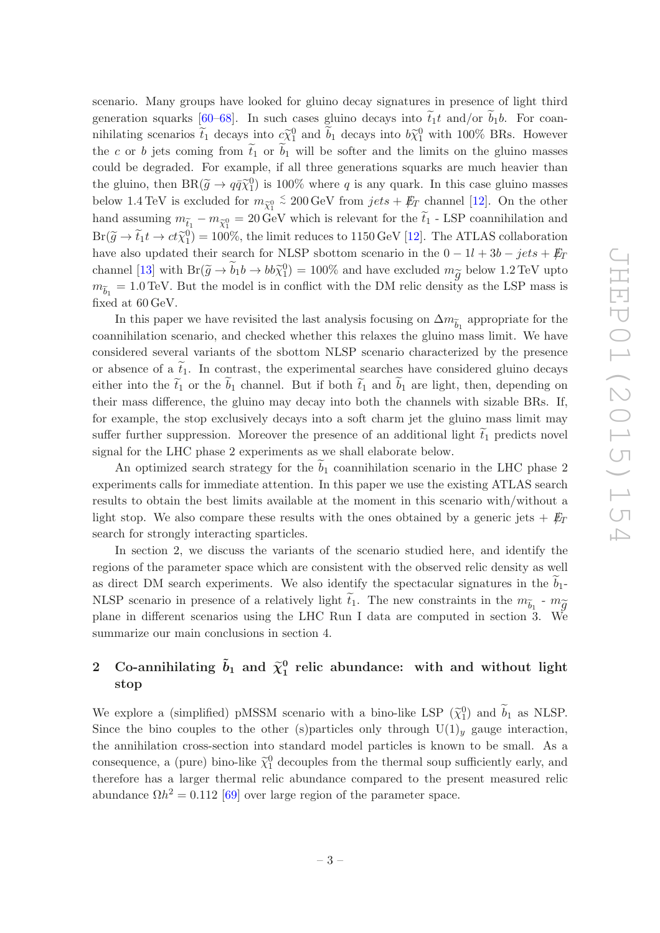scenario. Many groups have looked for gluino decay signatures in presence of light third generation squarks [\[60](#page-18-0)[–68\]](#page-18-1). In such cases gluino decays into  $\tilde{t}_1 t$  and/or  $b_1 b$ . For coanmihilating scenarios  $\tilde{t}_1$  decays into  $c\tilde{\chi}_1^0$  and  $\tilde{b}_1$  decays into  $b\tilde{\chi}_1^0$  with 100% BRs. However the c or b jets coming from  $\tilde{t}_1$  or  $\tilde{b}_1$  will be softer and the limits on the gluino masses could be degraded. For example, if all three generations squarks are much heavier than the gluino, then  $BR(\tilde{g} \to q\bar{q}\tilde{\chi}_1^0)$  is 100% where q is any quark. In this case gluino masses below 1.4 TeV is excluded for  $m_{\widetilde{\chi}_1^0}$ ≈ 200 GeV from  $jets + \not{E}_T$  channel [\[12\]](#page-15-2). On the other hand assuming  $m_{\tilde{t}_1} - m_{\tilde{\chi}_1^0} = 20 \,\text{GeV}$  which is relevant for the  $\tilde{t}_1$  - LSP coannihilation and  $Br(\tilde{g} \to \tilde{t}_1 t \to ct\tilde{\chi}_1^0) = 100\%$ , the limit reduces to 1150 GeV [\[12](#page-15-2)]. The ATLAS collaboration have also updated their search for NLSP sbottom scenario in the  $0 - 1l + 3b - jets + E_T$ channel [\[13](#page-15-5)] with  $Br(\tilde{g} \to \tilde{b}_1 b \to b b \tilde{\chi}_1^0) = 100\%$  and have excluded  $m_{\tilde{g}}$  below 1.2 TeV upto  $m_{\widetilde{b}_1} = 1.0 \,\text{TeV}$ . But the model is in conflict with the DM relic density as the LSP mass is fixed at 60 GeV.

In this paper we have revisited the last analysis focusing on  $\Delta m_{\widetilde{b}_1}$  appropriate for the coannihilation scenario, and checked whether this relaxes the gluino mass limit. We have considered several variants of the sbottom NLSP scenario characterized by the presence or absence of a  $\tilde{t}_1$ . In contrast, the experimental searches have considered gluino decays either into the  $\tilde{t}_1$  or the  $\tilde{b}_1$  channel. But if both  $\tilde{t}_1$  and  $\tilde{b}_1$  are light, then, depending on their mass difference, the gluino may decay into both the channels with sizable BRs. If, for example, the stop exclusively decays into a soft charm jet the gluino mass limit may suffer further suppression. Moreover the presence of an additional light  $\tilde{t}_1$  predicts novel signal for the LHC phase 2 experiments as we shall elaborate below.

An optimized search strategy for the  $b_1$  coannihilation scenario in the LHC phase 2 experiments calls for immediate attention. In this paper we use the existing ATLAS search results to obtain the best limits available at the moment in this scenario with/without a light stop. We also compare these results with the ones obtained by a generic jets  $+ E_T$ search for strongly interacting sparticles.

In section 2, we discuss the variants of the scenario studied here, and identify the regions of the parameter space which are consistent with the observed relic density as well as direct DM search experiments. We also identify the spectacular signatures in the  $b_1$ -NLSP scenario in presence of a relatively light  $\tilde{t}_1$ . The new constraints in the  $m_{\tilde{b}_1}$  -  $m_{\tilde{g}}$ plane in different scenarios using the LHC Run I data are computed in section 3. We summarize our main conclusions in section 4.

#### <span id="page-3-0"></span>2 Co-annihilating  $\tilde{b}_1$  and  $\widetilde{\chi}^0_1$  $_1^0$  relic abundance: with and without light stop

We explore a (simplified) pMSSM scenario with a bino-like LSP  $(\tilde{\chi}_1^0)$  and  $\tilde{b}_1$  as NLSP. Since the bino couples to the other (s)particles only through  $U(1)_y$  gauge interaction, the annihilation cross-section into standard model particles is known to be small. As a consequence, a (pure) bino-like  $\tilde{\chi}_1^0$  decouples from the thermal soup sufficiently early, and therefore has a larger thermal relic abundance compared to the present measured relic abundance  $\Omega h^2 = 0.112$  [\[69\]](#page-18-2) over large region of the parameter space.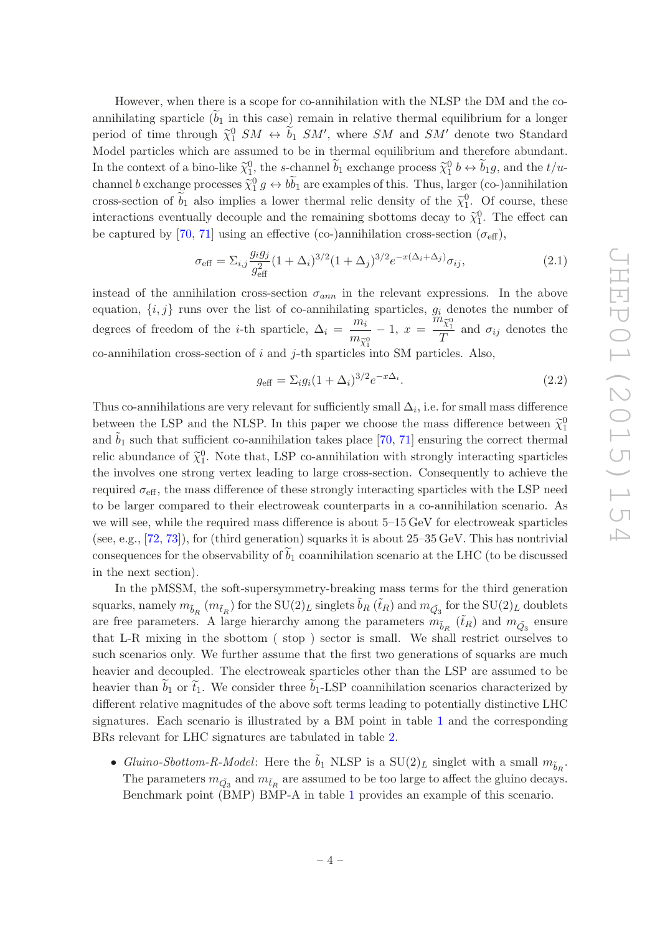However, when there is a scope for co-annihilation with the NLSP the DM and the coannihilating sparticle  $(b_1$  in this case) remain in relative thermal equilibrium for a longer period of time through  $\tilde{\chi}_1^0$   $SM \leftrightarrow \tilde{b}_1$   $SM'$ , where  $SM$  and  $SM'$  denote two Standard Model particles which are assumed to be in thermal equilibrium and therefore abundant. In the context of a bino-like  $\tilde{\chi}_1^0$ , the s-channel  $\tilde{b}_1$  exchange process  $\tilde{\chi}_1^0$   $b \leftrightarrow \tilde{b}_1 g$ , and the  $t/u$ channel b exchange processes  $\tilde{\chi}_1^0 g \leftrightarrow b\tilde{b}_1$  are examples of this. Thus, larger (co-)annihilation cross-section of  $\tilde{b}_1$  also implies a lower thermal relic density of the  $\tilde{\chi}_1^0$ . Of course, these interactions eventually decouple and the remaining sbottoms decay to  $\tilde{\chi}_1^0$ . The effect can be captured by [\[70,](#page-18-3) [71](#page-18-4)] using an effective (co-)annihilation cross-section ( $\sigma_{\text{eff}}$ ),

<span id="page-4-0"></span>
$$
\sigma_{\text{eff}} = \sum_{i,j} \frac{g_i g_j}{g_{\text{eff}}^2} (1 + \Delta_i)^{3/2} (1 + \Delta_j)^{3/2} e^{-x(\Delta_i + \Delta_j)} \sigma_{ij}, \tag{2.1}
$$

instead of the annihilation cross-section  $\sigma_{ann}$  in the relevant expressions. In the above equation,  $\{i, j\}$  runs over the list of co-annihilating sparticles,  $g_i$  denotes the number of degrees of freedom of the *i*-th sparticle,  $\Delta_i = \frac{m_i}{m_i}$  $\frac{m_{\tilde{\chi}_1^0}}{m_{\tilde{\chi}_1^0}} - 1, x =$  $\stackrel{\textstyle n}{m}_{\widetilde{\chi}_1^0}$  $\frac{\lambda_1}{T}$  and  $\sigma_{ij}$  denotes the co-annihilation cross-section of  $i$  and  $j$ -th sparticles into SM particles. Also,

$$
g_{\text{eff}} = \Sigma_i g_i (1 + \Delta_i)^{3/2} e^{-x \Delta_i}.
$$
 (2.2)

Thus co-annihilations are very relevant for sufficiently small  $\Delta_i$ , i.e. for small mass difference between the LSP and the NLSP. In this paper we choose the mass difference between  $\tilde{\chi}_1^0$ and  $b_1$  such that sufficient co-annihilation takes place [\[70](#page-18-3), [71\]](#page-18-4) ensuring the correct thermal relic abundance of  $\tilde{\chi}_1^0$ . Note that, LSP co-annihilation with strongly interacting sparticles the involves one strong vertex leading to large cross-section. Consequently to achieve the required  $\sigma_{\text{eff}}$ , the mass difference of these strongly interacting sparticles with the LSP need to be larger compared to their electroweak counterparts in a co-annihilation scenario. As we will see, while the required mass difference is about 5–15 GeV for electroweak sparticles (see, e.g., [\[72,](#page-18-5) [73\]](#page-18-6)), for (third generation) squarks it is about 25–35 GeV. This has nontrivial consequences for the observability of  $b_1$  coannihilation scenario at the LHC (to be discussed in the next section).

In the pMSSM, the soft-supersymmetry-breaking mass terms for the third generation squarks, namely  $m_{\tilde{b}_R}(m_{\tilde{t}_R})$  for the  $SU(2)_L$  singlets  $\tilde{b}_R(\tilde{t}_R)$  and  $m_{\tilde{Q}_3}$  for the  $SU(2)_L$  doublets are free parameters. A large hierarchy among the parameters  $m_{\tilde{b}_R}(\tilde{t}_R)$  and  $m_{\tilde{Q}_3}$  ensure that L-R mixing in the sbottom ( stop ) sector is small. We shall restrict ourselves to such scenarios only. We further assume that the first two generations of squarks are much heavier and decoupled. The electroweak sparticles other than the LSP are assumed to be heavier than  $b_1$  or  $\tilde{t}_1$ . We consider three  $b_1$ -LSP coannihilation scenarios characterized by different relative magnitudes of the above soft terms leading to potentially distinctive LHC signatures. Each scenario is illustrated by a BM point in table [1](#page-5-0) and the corresponding BRs relevant for LHC signatures are tabulated in table [2.](#page-6-0)

• Gluino-Sbottom-R-Model: Here the  $\tilde{b}_1$  NLSP is a  $SU(2)_L$  singlet with a small  $m_{\tilde{b}_R}$ . The parameters  $m_{\tilde{Q}_3}$  and  $m_{\tilde{t}_R}$  are assumed to be too large to affect the gluino decays. Benchmark point (BMP) BMP-A in table [1](#page-5-0) provides an example of this scenario.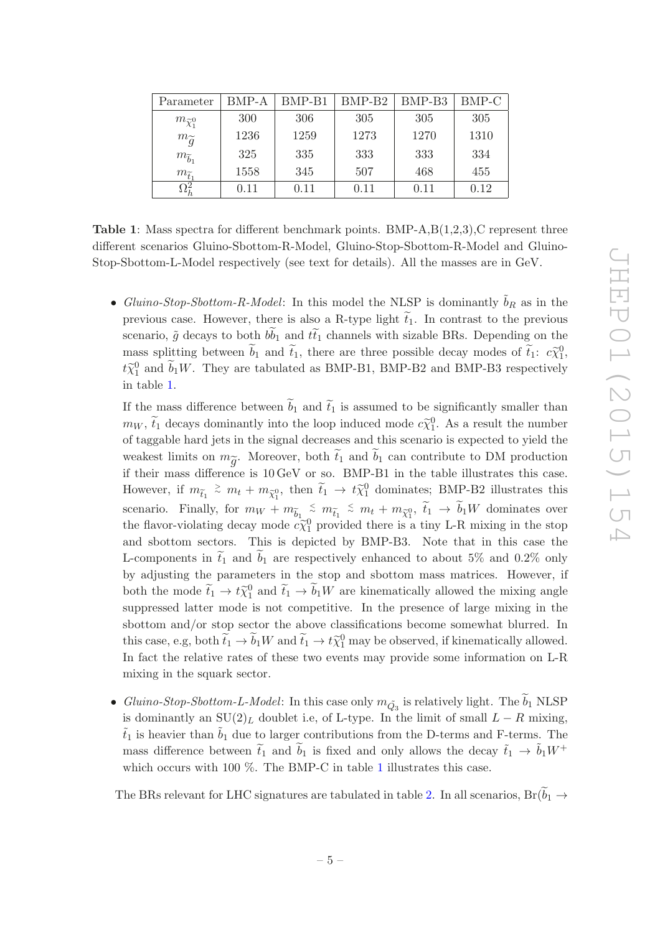<span id="page-5-0"></span>

| Parameter                      | BMP-A | BMP-B1 | BMP-B <sub>2</sub> | BMP-B3 | BMP-C |
|--------------------------------|-------|--------|--------------------|--------|-------|
| $m_{\widetilde{\chi}_{1}^{0}}$ | 300   | 306    | 305                | 305    | 305   |
| $m_{\widetilde{q}}$            | 1236  | 1259   | 1273               | 1270   | 1310  |
| $m_{\widetilde{b}_1}$          | 325   | 335    | 333                | 333    | 334   |
| $m_{\widetilde{t}_1}$          | 1558  | 345    | 507                | 468    | 455   |
| $\Omega_h^2$                   | 0.11  | 0.11   | 0.11               | 0.11   | 0.12  |

**Table 1:** Mass spectra for different benchmark points. BMP-A, $B(1,2,3)$ , C represent three different scenarios Gluino-Sbottom-R-Model, Gluino-Stop-Sbottom-R-Model and Gluino-Stop-Sbottom-L-Model respectively (see text for details). All the masses are in GeV.

• Gluino-Stop-Sbottom-R-Model: In this model the NLSP is dominantly  $\tilde{b}_R$  as in the previous case. However, there is also a R-type light  $t_1$ . In contrast to the previous scenario,  $\tilde{g}$  decays to both  $b\tilde{b}_1$  and  $t\tilde{t}_1$  channels with sizable BRs. Depending on the mass splitting between  $\tilde{b}_1$  and  $\tilde{t}_1$ , there are three possible decay modes of  $\tilde{t}_1$ :  $c\tilde{\chi}_1^0$ ,  $t\tilde{\chi}_{1}^{0}$  and  $\tilde{b}_{1}W$ . They are tabulated as BMP-B1, BMP-B2 and BMP-B3 respectively in table [1.](#page-5-0)

If the mass difference between  $\tilde{b}_1$  and  $\tilde{t}_1$  is assumed to be significantly smaller than  $m_W$ ,  $\tilde{t}_1$  decays dominantly into the loop induced mode  $c_{\chi_1}^{\sim 0}$ . As a result the number of taggable hard jets in the signal decreases and this scenario is expected to yield the weakest limits on  $m_{\widetilde{g}}$ . Moreover, both  $\widetilde{t}_1$  and  $\widetilde{b}_1$  can contribute to DM production if their mass difference is 10 GeV or so. BMP-B1 in the table illustrates this case. However, if  $m_{\tilde{t}_1} \stackrel{>}{\sim} m_t + m_{\tilde{\chi}_1^0}$ , then  $\tilde{t}_1 \to t\tilde{\chi}_1^0$  dominates; BMP-B2 illustrates this scenario. Finally, for  $m_W + m_{\tilde{b}_1} \stackrel{<}{\sim} m_{\tilde{t}_1} \stackrel{<}{\sim} m_t + m_{\tilde{\chi}_1^0}, \ \tilde{t}_1 \rightarrow \tilde{b}_1 W$  dominates over the flavor-violating decay mode  $c\tilde{\chi}_1^0$  provided there is a tiny L-R mixing in the stop and sbottom sectors. This is depicted by BMP-B3. Note that in this case the L-components in  $\tilde{t}_1$  and  $\tilde{b}_1$  are respectively enhanced to about 5% and 0.2% only by adjusting the parameters in the stop and sbottom mass matrices. However, if both the mode  $\tilde{t}_1 \to t \tilde{\chi}_1^0$  and  $\tilde{t}_1 \to \tilde{b}_1 W$  are kinematically allowed the mixing angle suppressed latter mode is not competitive. In the presence of large mixing in the sbottom and/or stop sector the above classifications become somewhat blurred. In this case, e.g, both  $\tilde{t}_1 \to \tilde{b}_1 W$  and  $\tilde{t}_1 \to t \tilde{\chi}_1^0$  may be observed, if kinematically allowed. In fact the relative rates of these two events may provide some information on L-R mixing in the squark sector.

• Gluino-Stop-Sbottom-L-Model: In this case only  $m_{\tilde{Q}_3}$  is relatively light. The  $\tilde{b}_1$  NLSP is dominantly an  $SU(2)<sub>L</sub>$  doublet i.e, of L-type. In the limit of small  $L - R$  mixing,  $\tilde{t}_1$  is heavier than  $\tilde{b}_1$  due to larger contributions from the D-terms and F-terms. The mass difference between  $\tilde{t}_1$  and  $b_1$  is fixed and only allows the decay  $\tilde{t}_1 \rightarrow \tilde{b}_1 W^+$ which occurs with [1](#page-5-0)00  $\%$ . The BMP-C in table 1 illustrates this case.

The BRs relevant for LHC signatures are tabulated in table [2.](#page-6-0) In all scenarios,  $Br(b_1 \rightarrow$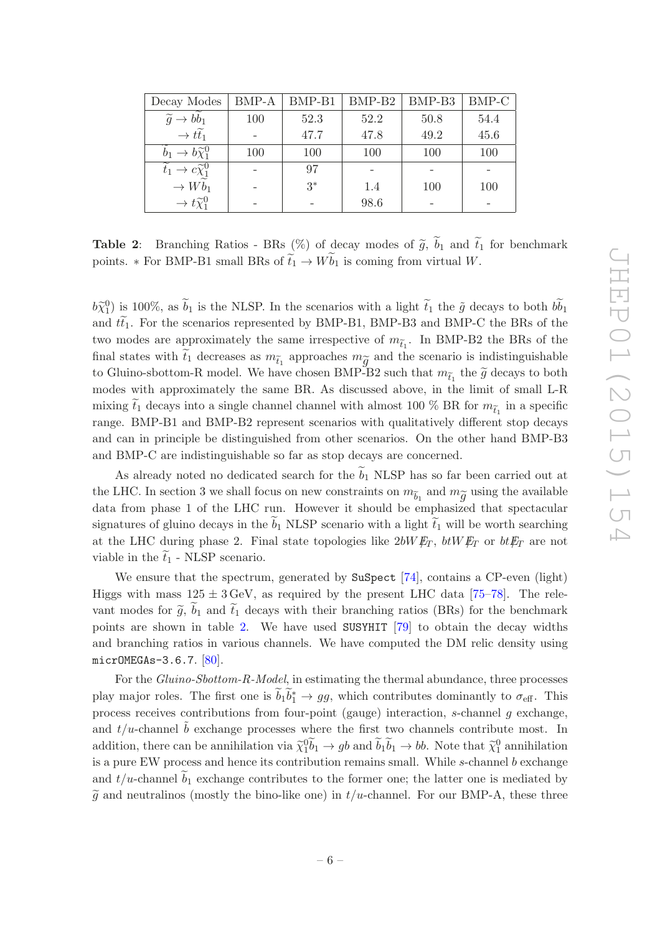<span id="page-6-0"></span>

| Decay Modes                                  | BMP-A | $BMP-B1$ | $BMP-B2$ | BMP-B <sub>3</sub> | BMP-C |
|----------------------------------------------|-------|----------|----------|--------------------|-------|
| $\widetilde{g} \to bb_1$                     | 100   | 52.3     | 52.2     | 50.8               | 54.4  |
| $\rightarrow t\tilde{t}_1$                   |       | 47.7     | 47.8     | 49.2               | 45.6  |
| $b_1 \rightarrow b_1^{\infty}$               | 100   | 100      | 100      | 100                | 100   |
| $\widetilde{t}_1 \to c \widetilde{\chi}_1^0$ |       | 97       |          |                    |       |
| $\rightarrow W\widetilde{b}_1$               |       | $3*$     | 1.4      | 100                | 100   |
| $\rightarrow t\widetilde{\chi}_{1}^{0}$      |       |          | 98.6     |                    |       |

**Table 2:** Branching Ratios - BRs  $(\%)$  of decay modes of  $\tilde{g}$ ,  $\tilde{b}_1$  and  $\tilde{t}_1$  for benchmark points. \* For BMP-B1 small BRs of  $\tilde{t}_1 \to W \tilde{b}_1$  is coming from virtual W.

 $b\tilde{\chi}_1^0$ ) is 100%, as  $\tilde{b}_1$  is the NLSP. In the scenarios with a light  $\tilde{t}_1$  the  $\tilde{g}$  decays to both  $b\tilde{b}_1$ and  $t\tilde{t}_1$ . For the scenarios represented by BMP-B1, BMP-B3 and BMP-C the BRs of the two modes are approximately the same irrespective of  $m_{\tilde{t}_1}$ . In BMP-B2 the BRs of the final states with  $\tilde{t}_1$  decreases as  $m_{\tilde{t}_1}$  approaches  $m_{\tilde{g}}$  and the scenario is indistinguishable to Gluino-sbottom-R model. We have chosen BMP-B2 such that  $m_{\tilde{t}_1}$  the  $\tilde{g}$  decays to both modes with approximately the same BR. As discussed above, in the limit of small L-R mixing  $\tilde{t}_1$  decays into a single channel channel with almost 100 % BR for  $m_{\tilde{t}_1}$  in a specific range. BMP-B1 and BMP-B2 represent scenarios with qualitatively different stop decays and can in principle be distinguished from other scenarios. On the other hand BMP-B3 and BMP-C are indistinguishable so far as stop decays are concerned.

As already noted no dedicated search for the  $\tilde{b}_1$  NLSP has so far been carried out at the LHC. In section 3 we shall focus on new constraints on  $m_{\widetilde b_1}$  and  $m_{\widetilde g}$  using the available data from phase 1 of the LHC run. However it should be emphasized that spectacular signatures of gluino decays in the  $b_1$  NLSP scenario with a light  $t_1$  will be worth searching at the LHC during phase 2. Final state topologies like  $2bW E_T$ ,  $b tW E_T$  or  $b t E_T$  are not viable in the  $\tilde{t}_1$  - NLSP scenario.

We ensure that the spectrum, generated by SuSpect [\[74](#page-18-7)], contains a CP-even (light) Higgs with mass  $125 \pm 3 \,\text{GeV}$ , as required by the present LHC data [\[75](#page-18-8)[–78\]](#page-19-0). The relevant modes for  $\tilde{g}$ ,  $b_1$  and  $\tilde{t}_1$  decays with their branching ratios (BRs) for the benchmark points are shown in table [2.](#page-6-0) We have used SUSYHIT [\[79](#page-19-1)] to obtain the decay widths and branching ratios in various channels. We have computed the DM relic density using micrOMEGAs-3.6.7. [\[80\]](#page-19-2).

For the Gluino-Sbottom-R-Model, in estimating the thermal abundance, three processes play major roles. The first one is  $\tilde{b}_1 \tilde{b}_1^* \to gg$ , which contributes dominantly to  $\sigma_{\text{eff}}$ . This process receives contributions from four-point (gauge) interaction, s-channel g exchange, and  $t/u$ -channel  $\ddot{b}$  exchange processes where the first two channels contribute most. In addition, there can be annihilation via  $\tilde{\chi}_1^0 \tilde{b}_1 \to g b$  and  $\tilde{b}_1 \tilde{b}_1 \to b b$ . Note that  $\tilde{\chi}_1^0$  annihilation is a pure EW process and hence its contribution remains small. While  $s$ -channel  $b$  exchange and  $t/u$ -channel  $b_1$  exchange contributes to the former one; the latter one is mediated by  $\tilde{q}$  and neutralinos (mostly the bino-like one) in  $t/u$ -channel. For our BMP-A, these three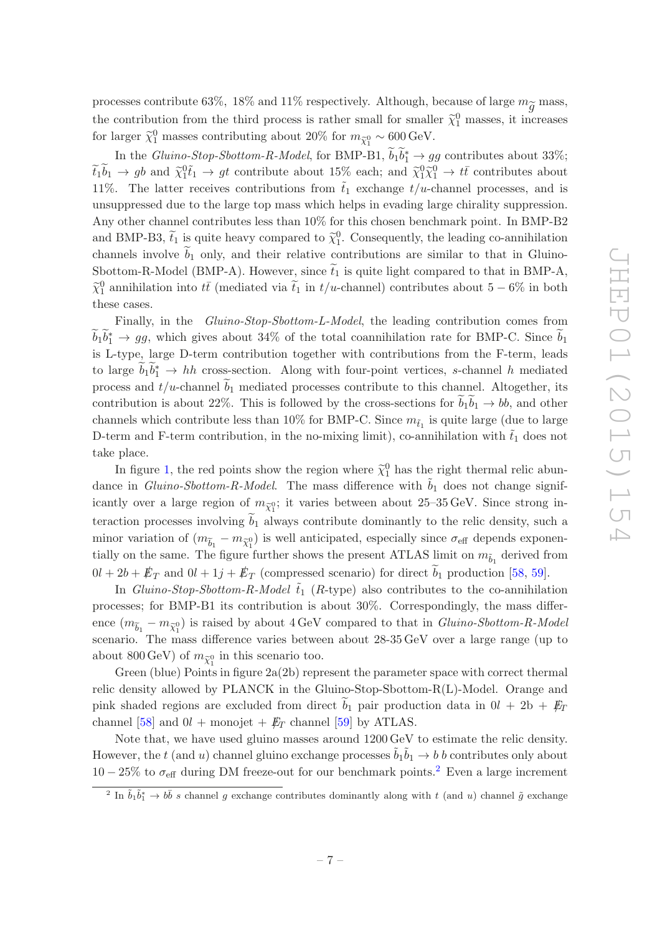processes contribute 63%, 18% and 11% respectively. Although, because of large  $m_{\widetilde{\sigma}}$  mass, the contribution from the third process is rather small for smaller  $\tilde{\chi}_1^0$  masses, it increases for larger  $\tilde{\chi}_1^0$  masses contributing about 20% for  $m_{\tilde{\chi}_1^0} \sim 600 \,\text{GeV}$ .

In the *Gluino-Stop-Sbottom-R-Model*, for BMP-B1,  $\tilde{b}_1 \tilde{b}_1^* \rightarrow gg$  contributes about 33%;  $\widetilde{t}_1 \widetilde{b}_1 \to g b$  and  $\widetilde{\chi}_1^0 \widetilde{t}_1 \to g t$  contribute about 15% each; and  $\widetilde{\chi}_1^0 \widetilde{\chi}_1^0 \to t\bar{t}$  contributes about 11%. The latter receives contributions from  $\tilde{t}_1$  exchange  $t/u$ -channel processes, and is unsuppressed due to the large top mass which helps in evading large chirality suppression. Any other channel contributes less than 10% for this chosen benchmark point. In BMP-B2 and BMP-B3,  $\tilde{t}_1$  is quite heavy compared to  $\tilde{\chi}_1^0$ . Consequently, the leading co-annihilation channels involve  $b_1$  only, and their relative contributions are similar to that in Gluino-Sbottom-R-Model (BMP-A). However, since  $\tilde{t}_1$  is quite light compared to that in BMP-A,  $\tilde{\chi}_1^0$  annihilation into  $t\bar{t}$  (mediated via  $\tilde{t}_1$  in  $t/u$ -channel) contributes about 5 − 6% in both these cases.

Finally, in the Gluino-Stop-Sbottom-L-Model, the leading contribution comes from  $\widetilde{b}_1 \widetilde{b}_1^* \to gg$ , which gives about 34% of the total coannihilation rate for BMP-C. Since  $\widetilde{b}_1$ is L-type, large D-term contribution together with contributions from the F-term, leads to large  $\widetilde{b}_1 \widetilde{b}_1^* \to hh$  cross-section. Along with four-point vertices, s-channel h mediated process and  $t/u$ -channel  $\tilde{b}_1$  mediated processes contribute to this channel. Altogether, its contribution is about 22%. This is followed by the cross-sections for  $\tilde{b}_1 \tilde{b}_1 \rightarrow b\tilde{b}_2$ , and other channels which contribute less than 10% for BMP-C. Since  $m_{\tilde{t}_1}$  is quite large (due to large D-term and F-term contribution, in the no-mixing limit), co-annihilation with  $\tilde{t}_1$  does not take place.

In figure [1,](#page-8-0) the red points show the region where  $\tilde{\chi}_1^0$  has the right thermal relic abundance in Gluino-Sbottom-R-Model. The mass difference with  $b_1$  does not change significantly over a large region of  $m_{\tilde{\chi}_1^0}$ ; it varies between about 25–35 GeV. Since strong interaction processes involving  $b_1$  always contribute dominantly to the relic density, such a minor variation of  $(m_{\widetilde{b}_1} - m_{\widetilde{\chi}_1^0})$  is well anticipated, especially since  $\sigma_{\text{eff}}$  depends exponentially on the same. The figure further shows the present ATLAS limit on  $m_{\tilde{b}_1}$  derived from  $0l + 2b + \not\!\!E_T$  and  $0l + 1j + \not\!\!E_T$  (compressed scenario) for direct  $\tilde{b}_1$  production [\[58,](#page-17-8) [59](#page-17-9)].

In Gluino-Stop-Sbottom-R-Model  $\tilde{t}_1$  (R-type) also contributes to the co-annihilation processes; for BMP-B1 its contribution is about 30%. Correspondingly, the mass difference  $(m_{\widetilde{b}_1} - m_{\widetilde{\chi}_1^0})$  is raised by about 4 GeV compared to that in *Gluino-Sbottom-R-Model* scenario. The mass difference varies between about 28-35 GeV over a large range (up to about 800 GeV) of  $m_{\tilde{\chi}_1^0}$  in this scenario too.

Green (blue) Points in figure  $2a(2b)$  represent the parameter space with correct thermal relic density allowed by PLANCK in the Gluino-Stop-Sbottom-R(L)-Model. Orange and pink shaded regions are excluded from direct  $b_1$  pair production data in  $0l + 2b + E_T$ channel [\[58\]](#page-17-8) and  $0l$  + monojet +  $E_T$  channel [\[59](#page-17-9)] by ATLAS.

Note that, we have used gluino masses around 1200 GeV to estimate the relic density. However, the t (and u) channel gluino exchange processes  $\tilde{b}_1 \tilde{b}_1 \to b$  b contributes only about  $10-25\%$  $10-25\%$  $10-25\%$  to  $\sigma_{\text{eff}}$  during DM freeze-out for our benchmark points.<sup>2</sup> Even a large increment

<span id="page-7-0"></span><sup>&</sup>lt;sup>2</sup> In  $\tilde{b}_1 \tilde{b}_1^* \to b \bar{b}$  s channel g exchange contributes dominantly along with t (and u) channel  $\tilde{g}$  exchange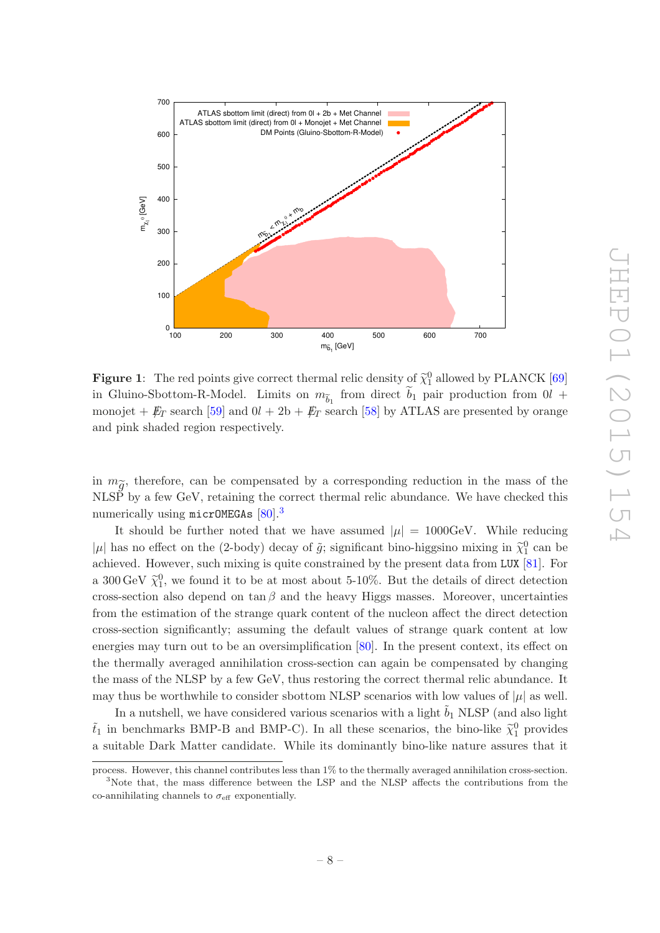<span id="page-8-0"></span>

**Figure 1:** The red points give correct thermal relic density of  $\tilde{\chi}_1^0$  allowed by PLANCK [\[69\]](#page-18-2) in Gluino-Sbottom-R-Model. Limits on  $m_{\tilde{b}_1}$  from direct  $\tilde{b}_1$  pair production from  $0$ l + monojet +  $\rlap{\,/}E_T$  search [\[59](#page-17-9)] and  $0l + 2b + \rlap{\,/}E_T$  search [\[58\]](#page-17-8) by ATLAS are presented by orange and pink shaded region respectively.

in  $m_{\widetilde{g}}$ , therefore, can be compensated by a corresponding reduction in the mass of the NLSP by a few GeV, retaining the correct thermal relic abundance. We have checked this numerically using micrOMEGAs [\[80\]](#page-19-2).[3](#page-8-1)

It should be further noted that we have assumed  $|\mu| = 1000 \text{GeV}$ . While reducing |µ| has no effect on the (2-body) decay of  $\tilde{g}$ ; significant bino-higgsino mixing in  $\tilde{\chi}_1^0$  can be achieved. However, such mixing is quite constrained by the present data from LUX [\[81](#page-19-3)]. For a 300 GeV  $\tilde{\chi}_1^0$ , we found it to be at most about 5-10%. But the details of direct detection cross-section also depend on tan  $\beta$  and the heavy Higgs masses. Moreover, uncertainties from the estimation of the strange quark content of the nucleon affect the direct detection cross-section significantly; assuming the default values of strange quark content at low energies may turn out to be an oversimplification [\[80\]](#page-19-2). In the present context, its effect on the thermally averaged annihilation cross-section can again be compensated by changing the mass of the NLSP by a few GeV, thus restoring the correct thermal relic abundance. It may thus be worthwhile to consider sbottom NLSP scenarios with low values of  $|\mu|$  as well.

In a nutshell, we have considered various scenarios with a light  $\tilde{b}_1$  NLSP (and also light  $\tilde{t}_1$  in benchmarks BMP-B and BMP-C). In all these scenarios, the bino-like  $\tilde{\chi}_1^0$  provides a suitable Dark Matter candidate. While its dominantly bino-like nature assures that it

process. However, this channel contributes less than 1% to the thermally averaged annihilation cross-section.

<span id="page-8-1"></span><sup>&</sup>lt;sup>3</sup>Note that, the mass difference between the LSP and the NLSP affects the contributions from the co-annihilating channels to  $\sigma_{\text{eff}}$  exponentially.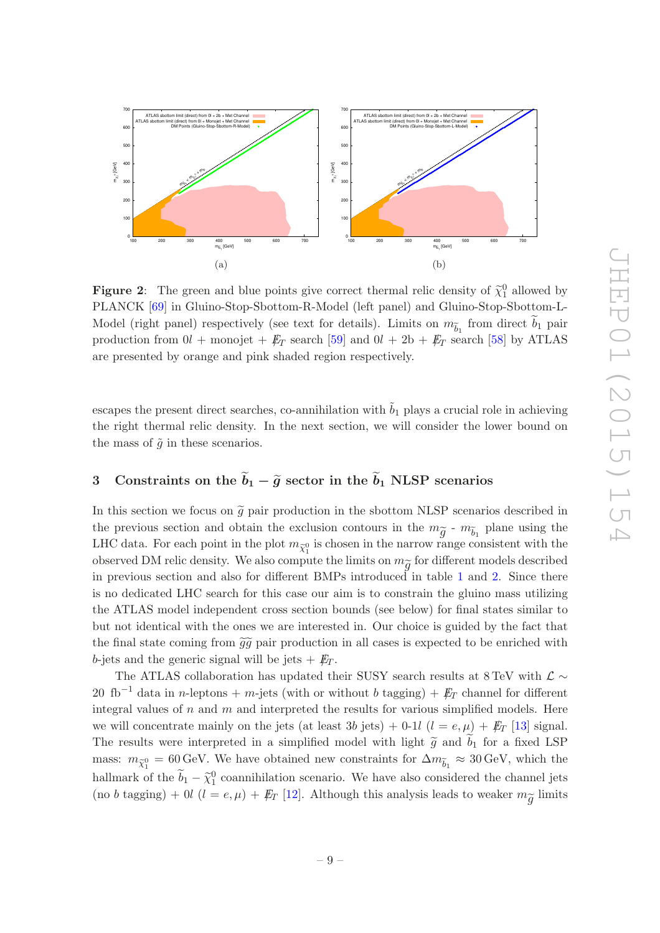

**Figure 2:** The green and blue points give correct thermal relic density of  $\tilde{\chi}_1^0$  allowed by PLANCK [\[69\]](#page-18-2) in Gluino-Stop-Sbottom-R-Model (left panel) and Gluino-Stop-Sbottom-L-Model (right panel) respectively (see text for details). Limits on  $m_{\tilde{b}_1}$  from direct  $\tilde{b}_1$  pair production from  $0l$  + monojet +  $E_T$  search [\[59](#page-17-9)] and  $0l + 2b + E_T$  search [\[58\]](#page-17-8) by ATLAS are presented by orange and pink shaded region respectively.

escapes the present direct searches, co-annihilation with  $\tilde{b}_1$  plays a crucial role in achieving the right thermal relic density. In the next section, we will consider the lower bound on the mass of  $\tilde{g}$  in these scenarios.

## <span id="page-9-0"></span>3 Constraints on the  $\tilde{b}_1 - \tilde{g}$  sector in the  $\tilde{b}_1$  NLSP scenarios

In this section we focus on  $\tilde{g}$  pair production in the sbottom NLSP scenarios described in the previous section and obtain the exclusion contours in the  $m_{\widetilde{g}}$  -  $m_{\widetilde{b}_1}$  plane using the LHC data. For each point in the plot  $m_{\widetilde{\chi}_1^0}$  is chosen in the narrow range consistent with the observed DM relic density. We also compute the limits on  $m_{\widetilde{g}}$  for different models described in previous section and also for different BMPs introduced in table [1](#page-5-0) and [2.](#page-6-0) Since there is no dedicated LHC search for this case our aim is to constrain the gluino mass utilizing the ATLAS model independent cross section bounds (see below) for final states similar to but not identical with the ones we are interested in. Our choice is guided by the fact that the final state coming from  $\tilde{g}\tilde{g}$  pair production in all cases is expected to be enriched with b-jets and the generic signal will be jets  $+$   $E_T$ .

The ATLAS collaboration has updated their SUSY search results at 8 TeV with  $\mathcal{L} \sim$ 20 fb<sup>-1</sup> data in n-leptons + m-jets (with or without b tagging) +  $\not{E}_T$  channel for different integral values of  $n$  and  $m$  and interpreted the results for various simplified models. Here we will concentrate mainly on the jets (at least 3b jets) + 0-1l  $(l = e, \mu) + E_T$  [\[13\]](#page-15-5) signal. The results were interpreted in a simplified model with light  $\tilde{g}$  and  $b_1$  for a fixed LSP mass:  $m_{\tilde{\chi}^0_1} = 60 \,\text{GeV}$ . We have obtained new constraints for  $\Delta m_{\tilde{b}_1} \approx 30 \,\text{GeV}$ , which the hallmark of the  $\tilde{b}_1 - \tilde{\chi}_1^0$  coannihilation scenario. We have also considered the channel jets (no b tagging) + 0l ( $l = e, \mu$ ) +  $\not\hspace{-1.2mm}E_T$  [\[12\]](#page-15-2). Although this analysis leads to weaker  $m_{\widetilde{g}}$  limits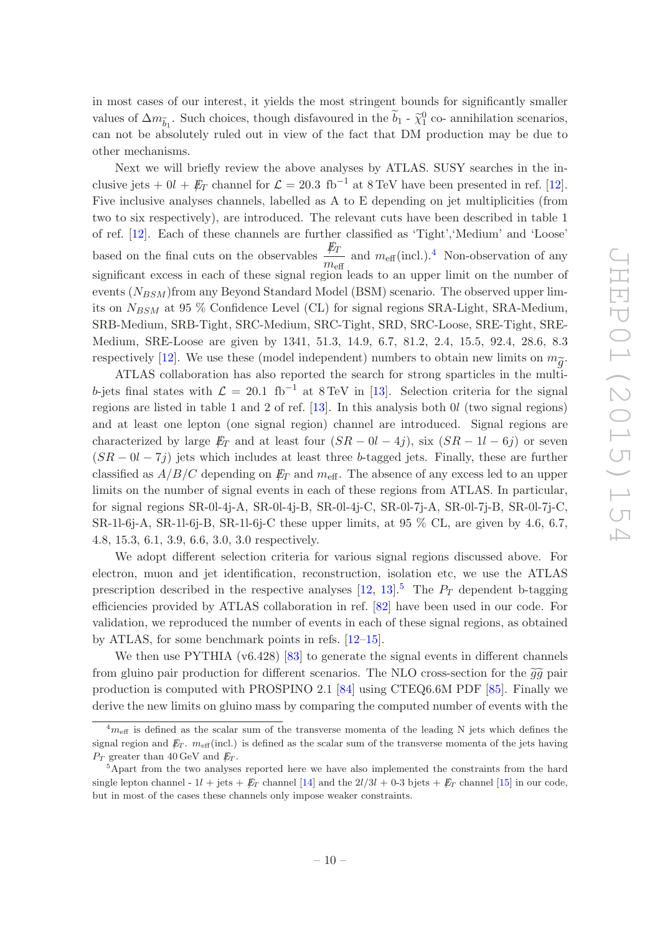in most cases of our interest, it yields the most stringent bounds for significantly smaller values of  $\Delta m_{\tilde{b}_1}$ . Such choices, though disfavoured in the  $\tilde{b}_1$  -  $\tilde{\chi}_1^0$  co- annihilation scenarios, can not be absolutely ruled out in view of the fact that DM production may be due to other mechanisms.

Next we will briefly review the above analyses by ATLAS. SUSY searches in the inclusive jets +  $0l + \not{E}_T$  channel for  $\mathcal{L} = 20.3 \text{ fb}^{-1}$  at 8 TeV have been presented in ref. [\[12\]](#page-15-2). Five inclusive analyses channels, labelled as A to E depending on jet multiplicities (from two to six respectively), are introduced. The relevant cuts have been described in table 1 of ref. [\[12\]](#page-15-2). Each of these channels are further classified as 'Tight','Medium' and 'Loose' based on the final cuts on the observables  $\frac{E_T}{E_T}$  $\frac{\mu_T}{m_{\text{eff}}}$  and  $m_{\text{eff}}$  (incl.).<sup>[4](#page-10-0)</sup> Non-observation of any significant excess in each of these signal region leads to an upper limit on the number of events  $(N_{BSM})$  from any Beyond Standard Model (BSM) scenario. The observed upper limits on  $N_{BSM}$  at 95 % Confidence Level (CL) for signal regions SRA-Light, SRA-Medium, SRB-Medium, SRB-Tight, SRC-Medium, SRC-Tight, SRD, SRC-Loose, SRE-Tight, SRE-Medium, SRE-Loose are given by 1341, 51.3, 14.9, 6.7, 81.2, 2.4, 15.5, 92.4, 28.6, 8.3 respectively [\[12\]](#page-15-2). We use these (model independent) numbers to obtain new limits on  $m_{\widetilde{g}}$ .

ATLAS collaboration has also reported the search for strong sparticles in the multib-jets final states with  $\mathcal{L} = 20.1 \text{ fb}^{-1}$  at 8 TeV in [\[13](#page-15-5)]. Selection criteria for the signal regions are listed in table 1 and 2 of ref.  $[13]$ . In this analysis both  $0l$  (two signal regions) and at least one lepton (one signal region) channel are introduced. Signal regions are characterized by large  $E_T$  and at least four  $(SR - 0l - 4j)$ , six  $(SR - 1l - 6j)$  or seven  $(SR - 0l - 7j)$  jets which includes at least three b-tagged jets. Finally, these are further classified as  $A/B/C$  depending on  $E_T$  and  $m_{\text{eff}}$ . The absence of any excess led to an upper limits on the number of signal events in each of these regions from ATLAS. In particular, for signal regions SR-0l-4j-A, SR-0l-4j-B, SR-0l-4j-C, SR-0l-7j-A, SR-0l-7j-B, SR-0l-7j-C, SR-1l-6j-A, SR-1l-6j-B, SR-1l-6j-C these upper limits, at 95 % CL, are given by 4.6, 6.7, 4.8, 15.3, 6.1, 3.9, 6.6, 3.0, 3.0 respectively.

We adopt different selection criteria for various signal regions discussed above. For electron, muon and jet identification, reconstruction, isolation etc, we use the ATLAS prescription described in the respective analyses  $[12, 13]$  $[12, 13]$  $[12, 13]$ <sup>[5](#page-10-1)</sup>. The  $P_T$  dependent b-tagging efficiencies provided by ATLAS collaboration in ref. [\[82\]](#page-19-4) have been used in our code. For validation, we reproduced the number of events in each of these signal regions, as obtained by ATLAS, for some benchmark points in refs. [\[12](#page-15-2)[–15\]](#page-15-6).

We then use PYTHIA (v6.428) [\[83\]](#page-19-5) to generate the signal events in different channels from gluino pair production for different scenarios. The NLO cross-section for the  $\tilde{g}\tilde{g}$  pair production is computed with PROSPINO 2.1 [\[84](#page-19-6)] using CTEQ6.6M PDF [\[85\]](#page-19-7). Finally we derive the new limits on gluino mass by comparing the computed number of events with the

<span id="page-10-0"></span> $^{4}m_{\text{eff}}$  is defined as the scalar sum of the transverse momenta of the leading N jets which defines the signal region and  $\rlap{\,/}E_T$ .  $m_{\text{eff}}(\text{incl.})$  is defined as the scalar sum of the transverse momenta of the jets having  $P_T$  greater than 40 GeV and  $E_T$ .

<span id="page-10-1"></span><sup>&</sup>lt;sup>5</sup>Apart from the two analyses reported here we have also implemented the constraints from the hard single lepton channel -  $1l + \text{jets} + \cancel{E_T}$  channel [\[14\]](#page-15-7) and the  $2l/3l + 0.3$  bjets  $+ \cancel{E_T}$  channel [\[15](#page-15-6)] in our code, but in most of the cases these channels only impose weaker constraints.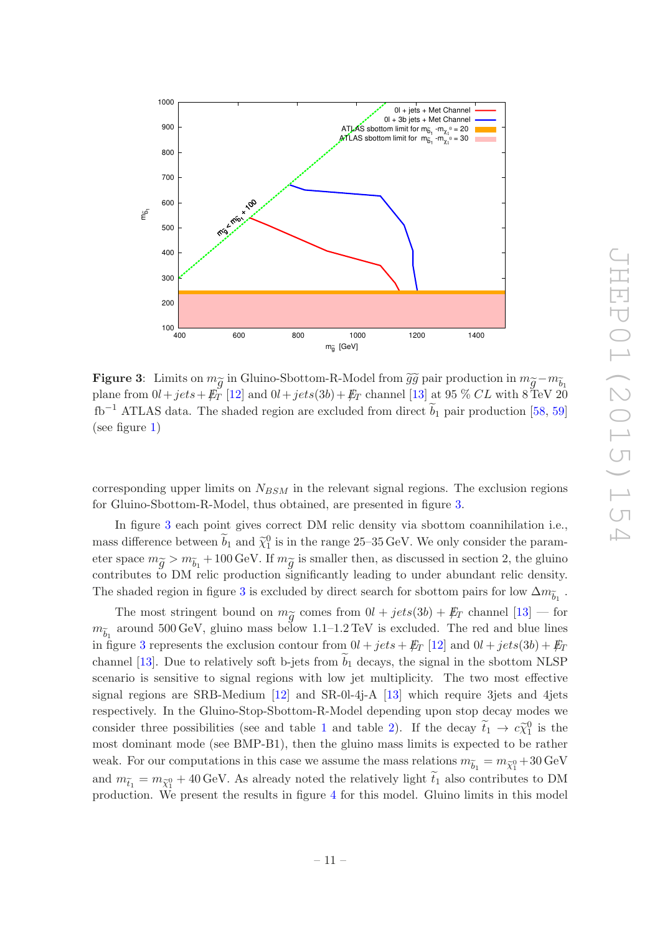<span id="page-11-0"></span>

Figure 3: Limits on  $m_{\widetilde{g}}$  in Gluino-Sbottom-R-Model from  $\widetilde{g} \widetilde{g}$  pair production in  $m_{\widetilde{g}}-m_{\widetilde{b}_1}$ plane from  $0l+jets+\cancel{E_T}$  [\[12\]](#page-15-2) and  $0l+jets(3b)+\cancel{E_T}$  channel [\[13\]](#page-15-5) at 95 % CL with 8 TeV 20  $fb^{-1}$  ATLAS data. The shaded region are excluded from direct  $b_1$  pair production [\[58,](#page-17-8) [59\]](#page-17-9) (see figure [1\)](#page-8-0)

corresponding upper limits on  $N_{BSM}$  in the relevant signal regions. The exclusion regions for Gluino-Sbottom-R-Model, thus obtained, are presented in figure [3.](#page-11-0)

In figure [3](#page-11-0) each point gives correct DM relic density via sbottom coannihilation i.e., mass difference between  $\tilde{b}_1$  and  $\tilde{\chi}_1^0$  is in the range 25–35 GeV. We only consider the parameter space  $m_{\widetilde{g}} > m_{\widetilde{b}_1} + 100 \,\text{GeV}$ . If  $m_{\widetilde{g}}$  is smaller then, as discussed in section 2, the gluino contributes to DM relic production significantly leading to under abundant relic density. The shaded region in figure [3](#page-11-0) is excluded by direct search for sbottom pairs for low  $\Delta m_{\widetilde{b}_1}$ .

The most stringent bound on  $m_{\widetilde{g}}$  comes from  $0l + jets(3b) + \cancel{E_T}$  channel  $[13]$  — for  $m_{\widetilde{b}_1}$  around 500 GeV, gluino mass below 1.1–1.2 TeV is excluded. The red and blue lines in figure [3](#page-11-0) represents the exclusion contour from  $0l + jets + E_T$  [\[12\]](#page-15-2) and  $0l + jets(3b) + E_T$ channel [\[13\]](#page-15-5). Due to relatively soft b-jets from  $b_1$  decays, the signal in the sbottom NLSP scenario is sensitive to signal regions with low jet multiplicity. The two most effective signal regions are SRB-Medium  $\left[12\right]$  and SR-0l-4j-A  $\left[13\right]$  which require 3 jets and 4 jets respectively. In the Gluino-Stop-Sbottom-R-Model depending upon stop decay modes we consider three possibilities (see and table [1](#page-5-0) and table [2\)](#page-6-0). If the decay  $\tilde{t}_1 \to c \tilde{\chi}_1^0$  is the most dominant mode (see BMP-B1), then the gluino mass limits is expected to be rather weak. For our computations in this case we assume the mass relations  $m_{\widetilde{b}_1} = m_{\widetilde{\chi}_1^0} + 30\,\text{GeV}$ and  $m_{\tilde{t}_1} = m_{\tilde{\chi}_1^0} + 40 \,\text{GeV}$ . As already noted the relatively light  $\tilde{t}_1$  also contributes to DM production. We present the results in figure [4](#page-12-0) for this model. Gluino limits in this model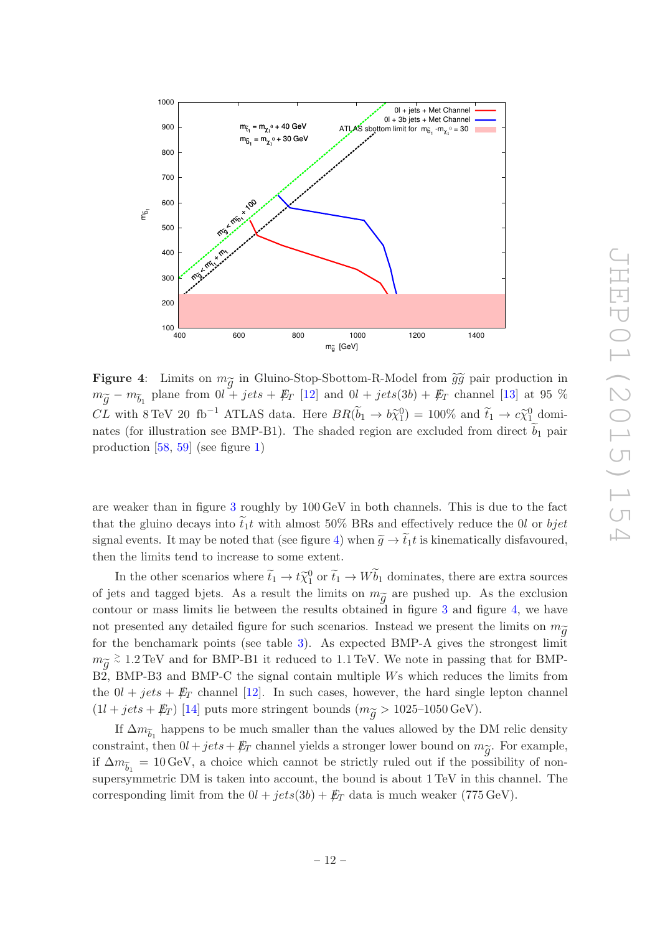<span id="page-12-0"></span>

**Figure 4:** Limits on  $m_{\widetilde{g}}$  in Gluino-Stop-Sbottom-R-Model from  $\widetilde{g}\widetilde{g}$  pair production in  $m_{\widetilde{g}} - m_{\widetilde{b}_1}$  plane from  $0l + jets + \not\!\!E_T$  [\[12](#page-15-2)] and  $0l + jets(3b) + \not\!\!E_T$  channel [\[13\]](#page-15-5) at 95 % CL with 8 TeV 20 fb<sup>-1</sup> ATLAS data. Here  $BR(\tilde{b}_1 \to b\tilde{\chi}_1^0) = 100\%$  and  $\tilde{t}_1 \to c\tilde{\chi}_1^0$  dominates (for illustration see BMP-B1). The shaded region are excluded from direct  $b_1$  pair production [\[58,](#page-17-8) [59](#page-17-9)] (see figure [1\)](#page-8-0)

are weaker than in figure [3](#page-11-0) roughly by 100 GeV in both channels. This is due to the fact that the gluino decays into  $\tilde{t}_1 t$  with almost 50% BRs and effectively reduce the 0l or bjet signal events. It may be noted that (see figure [4\)](#page-12-0) when  $\tilde{q} \to \tilde{t}_1 t$  is kinematically disfavoured, then the limits tend to increase to some extent.

In the other scenarios where  $\tilde{t}_1 \to t \tilde{\chi}_1^0$  or  $\tilde{t}_1 \to W \tilde{b}_1$  dominates, there are extra sources of jets and tagged bjets. As a result the limits on  $m_{\widetilde{g}}$  are pushed up. As the exclusion contour or mass limits lie between the results obtained in figure [3](#page-11-0) and figure [4,](#page-12-0) we have not presented any detailed figure for such scenarios. Instead we present the limits on  $m_{\widetilde{\alpha}}$ for the benchamark points (see table [3\)](#page-13-1). As expected BMP-A gives the strongest limit  $m_{\widetilde{g}}$  ≥ 1.2 TeV and for BMP-B1 it reduced to 1.1 TeV. We note in passing that for BMP-B2, BMP-B3 and BMP-C the signal contain multiple Ws which reduces the limits from the  $0l + jets + E_T$  channel [\[12\]](#page-15-2). In such cases, however, the hard single lepton channel  $(1l + jets + E_T)$  [\[14\]](#page-15-7) puts more stringent bounds  $(m_{\widetilde{q}} > 1025{\text -}1050 \,\text{GeV}).$ 

If  $\Delta m_{\widetilde{b}_1}$  happens to be much smaller than the values allowed by the DM relic density constraint, then  $0l + jets + \not\!\!E_T$  channel yields a stronger lower bound on  $m_{\widetilde{g}}$ . For example, if  $\Delta m_{\tilde{b}_1} = 10 \,\text{GeV}$ , a choice which cannot be strictly ruled out if the possibility of nonsupersymmetric DM is taken into account, the bound is about 1 TeV in this channel. The corresponding limit from the  $0l + jets(3b) + \not{E}_T$  data is much weaker (775 GeV).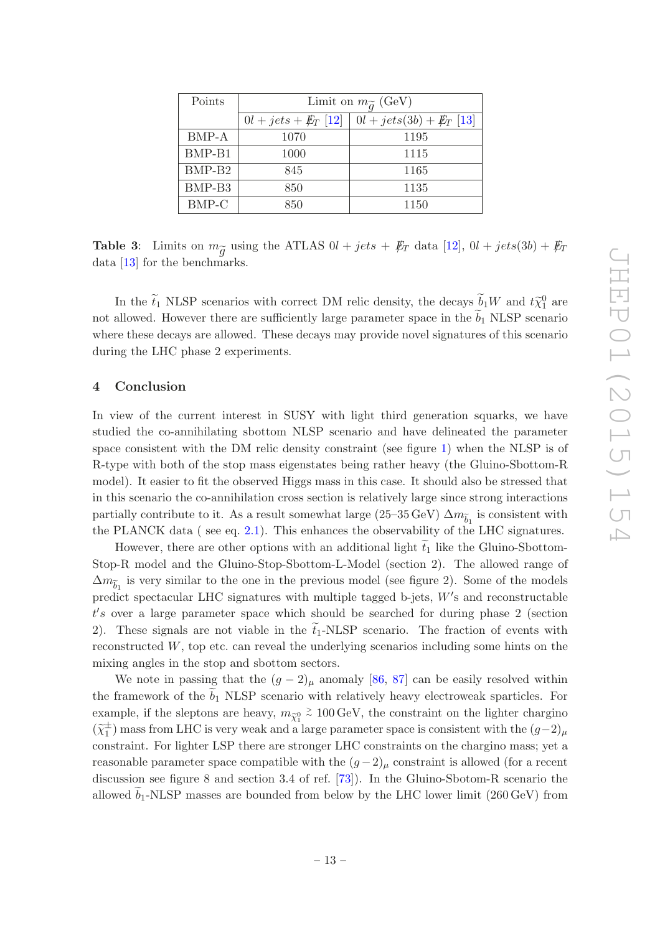<span id="page-13-1"></span>

| Points             | Limit on $m_{\widetilde{q}}$ (GeV) |                            |  |  |
|--------------------|------------------------------------|----------------------------|--|--|
|                    | $0l + jets + E_T$ [12]             | $0l + jets(3b) + E_T$ [13] |  |  |
| BMP-A              | 1070                               | 1195                       |  |  |
| BMP-B1             | 1000                               | 1115                       |  |  |
| BMP-B <sub>2</sub> | 845                                | 1165                       |  |  |
| BMP-B <sub>3</sub> | 850                                | 1135                       |  |  |
| BMP-C              | 850                                | 1150                       |  |  |

**Table 3:** Limits on  $m_{\widetilde{g}}$  using the ATLAS  $0l + jets + \not\!\!E_T$  data [\[12](#page-15-2)],  $0l + jets(3b) + \not\!\!E_T$ data [\[13](#page-15-5)] for the benchmarks.

In the  $\tilde{t}_1$  NLSP scenarios with correct DM relic density, the decays  $\tilde{b}_1W$  and  $t\tilde{\chi}_1^0$  are not allowed. However there are sufficiently large parameter space in the  $b_1$  NLSP scenario where these decays are allowed. These decays may provide novel signatures of this scenario during the LHC phase 2 experiments.

#### <span id="page-13-0"></span>4 Conclusion

In view of the current interest in SUSY with light third generation squarks, we have studied the co-annihilating sbottom NLSP scenario and have delineated the parameter space consistent with the DM relic density constraint (see figure [1\)](#page-8-0) when the NLSP is of R-type with both of the stop mass eigenstates being rather heavy (the Gluino-Sbottom-R model). It easier to fit the observed Higgs mass in this case. It should also be stressed that in this scenario the co-annihilation cross section is relatively large since strong interactions partially contribute to it. As a result somewhat large (25–35 GeV)  $\Delta m_{\widetilde{b}_1}$  is consistent with the PLANCK data ( see eq. [2.1\)](#page-4-0). This enhances the observability of the LHC signatures.

However, there are other options with an additional light  $t_1$  like the Gluino-Sbottom-Stop-R model and the Gluino-Stop-Sbottom-L-Model (section 2). The allowed range of  $\Delta m_{\widetilde{b}_1}$  is very similar to the one in the previous model (see figure 2). Some of the models predict spectacular LHC signatures with multiple tagged b-jets,  $W'$ s and reconstructable t ′ s over a large parameter space which should be searched for during phase 2 (section 2). These signals are not viable in the  $\tilde{t}_1$ -NLSP scenario. The fraction of events with reconstructed  $W$ , top etc. can reveal the underlying scenarios including some hints on the mixing angles in the stop and sbottom sectors.

We note in passing that the  $(g - 2)_{\mu}$  anomaly [\[86](#page-19-8), [87\]](#page-19-9) can be easily resolved within the framework of the  $b_1$  NLSP scenario with relatively heavy electroweak sparticles. For example, if the sleptons are heavy,  $m_{\widetilde{\chi}_1^0}$ > <sup>∼</sup> 100 GeV, the constraint on the lighter chargino  $(\widetilde{\chi}_1^{\pm}$  $_1^{\pm}$ ) mass from LHC is very weak and a large parameter space is consistent with the  $(g-2)_{\mu}$ constraint. For lighter LSP there are stronger LHC constraints on the chargino mass; yet a reasonable parameter space compatible with the  $(g-2)_{\mu}$  constraint is allowed (for a recent discussion see figure 8 and section 3.4 of ref. [\[73](#page-18-6)]). In the Gluino-Sbotom-R scenario the allowed  $b_1$ -NLSP masses are bounded from below by the LHC lower limit (260 GeV) from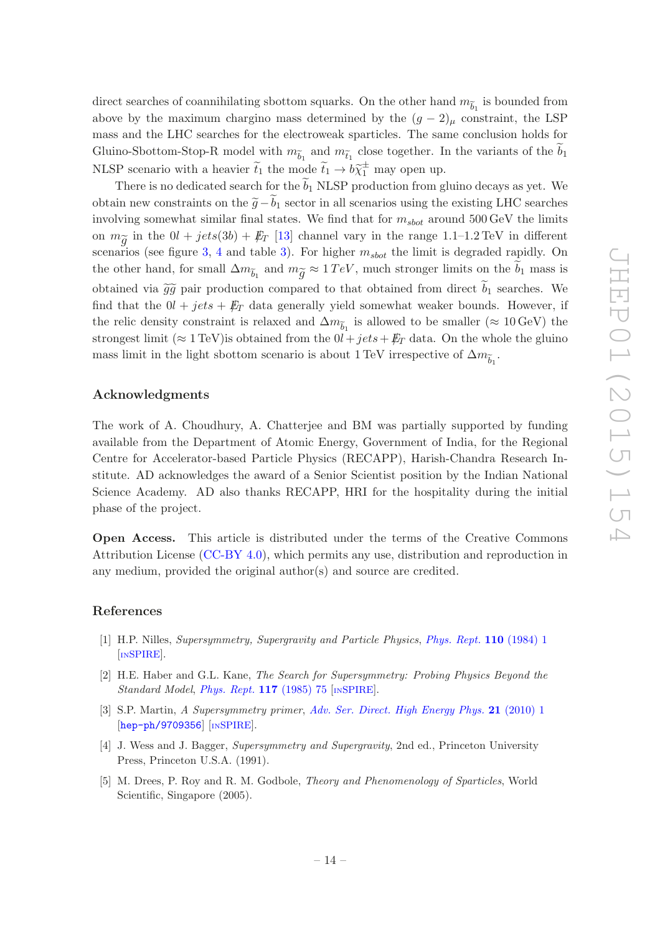direct searches of coannihilating sbottom squarks. On the other hand  $m_{\widetilde{b}_1}$  is bounded from above by the maximum chargino mass determined by the  $(g - 2)$ <sub>µ</sub> constraint, the LSP mass and the LHC searches for the electroweak sparticles. The same conclusion holds for Gluino-Sbottom-Stop-R model with  $m_{\tilde{b}_1}$  and  $m_{\tilde{t}_1}$  close together. In the variants of the  $\tilde{b}_1$ NLSP scenario with a heavier  $\tilde{t}_1$  the mode  $\tilde{t}_1 \rightarrow b \tilde{\chi}_1^{\pm}$  may open up.

There is no dedicated search for the  $\tilde{b}_1$  NLSP production from gluino decays as yet. We obtain new constraints on the  $\tilde{q}-b_1$  sector in all scenarios using the existing LHC searches involving somewhat similar final states. We find that for  $m_{shot}$  around 500 GeV the limits on  $m_{\widetilde{g}}$  in the  $0l + jets(3b) + \not\!\!E_T$  [\[13](#page-15-5)] channel vary in the range 1.1–1.2 TeV in different scenarios (see figure [3,](#page-11-0) [4](#page-12-0) and table [3\)](#page-13-1). For higher  $m_{shot}$  the limit is degraded rapidly. On the other hand, for small  $\Delta m_{\tilde{b}_1}$  and  $m_{\tilde{g}} \approx 1 \, TeV$ , much stronger limits on the  $\tilde{b}_1$  mass is obtained via  $\tilde{g}\tilde{g}$  pair production compared to that obtained from direct  $\tilde{b}_1$  searches. We find that the  $0l + jets + E_T$  data generally yield somewhat weaker bounds. However, if the relic density constraint is relaxed and  $\Delta m_{\widetilde{b}_1}$  is allowed to be smaller (≈ 10 GeV) the strongest limit (≈ 1 TeV) is obtained from the  $0l + jets + E_T$  data. On the whole the gluino mass limit in the light sbottom scenario is about 1 TeV irrespective of  $\Delta m_{\widetilde{b}_1}$ .

#### Acknowledgments

The work of A. Choudhury, A. Chatterjee and BM was partially supported by funding available from the Department of Atomic Energy, Government of India, for the Regional Centre for Accelerator-based Particle Physics (RECAPP), Harish-Chandra Research Institute. AD acknowledges the award of a Senior Scientist position by the Indian National Science Academy. AD also thanks RECAPP, HRI for the hospitality during the initial phase of the project.

Open Access. This article is distributed under the terms of the Creative Commons Attribution License [\(CC-BY 4.0\)](http://creativecommons.org/licenses/by/4.0/), which permits any use, distribution and reproduction in any medium, provided the original author(s) and source are credited.

#### References

- <span id="page-14-0"></span>[1] H.P. Nilles, Supersymmetry, Supergravity and Particle Physics, [Phys. Rept.](http://dx.doi.org/10.1016/0370-1573(84)90008-5) 110 (1984) 1 [IN[SPIRE](http://inspirehep.net/search?p=find+J+Phys.Rep.,110,1)].
- [2] H.E. Haber and G.L. Kane, The Search for Supersymmetry: Probing Physics Beyond the Standard Model, *[Phys. Rept.](http://dx.doi.org/10.1016/0370-1573(85)90051-1)* **117** (1985) 75 [IN[SPIRE](http://inspirehep.net/search?p=find+J+Phys.Rep.,117,75)].
- [3] S.P. Martin, A Supersymmetry primer, [Adv. Ser. Direct. High Energy Phys.](http://dx.doi.org/10.1142/9789814307505_0001) 21 (2010) 1 [[hep-ph/9709356](http://arxiv.org/abs/hep-ph/9709356)] [IN[SPIRE](http://inspirehep.net/search?p=find+EPRINT+hep-ph/9709356)].
- [4] J. Wess and J. Bagger, Supersymmetry and Supergravity, 2nd ed., Princeton University Press, Princeton U.S.A. (1991).
- <span id="page-14-1"></span>[5] M. Drees, P. Roy and R. M. Godbole, Theory and Phenomenology of Sparticles, World Scientific, Singapore (2005).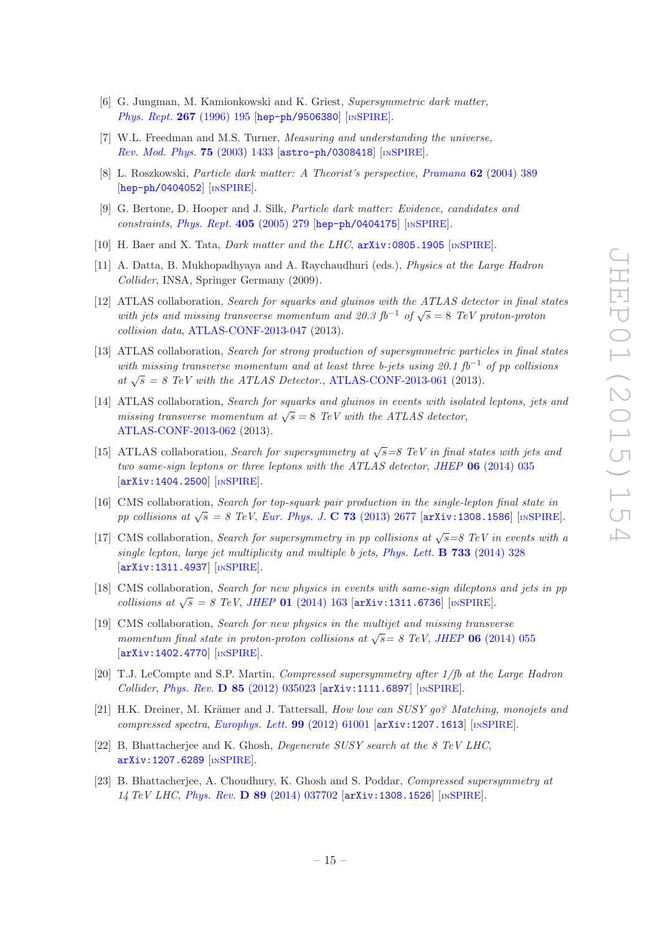- <span id="page-15-0"></span>[6] G. Jungman, M. Kamionkowski and K. Griest, Supersymmetric dark matter, [Phys. Rept.](http://dx.doi.org/10.1016/0370-1573(95)00058-5) 267 (1996) 195 [[hep-ph/9506380](http://arxiv.org/abs/hep-ph/9506380)] [IN[SPIRE](http://inspirehep.net/search?p=find+EPRINT+hep-ph/9506380)].
- [7] W.L. Freedman and M.S. Turner, *Measuring and understanding the universe*, [Rev. Mod. Phys.](http://dx.doi.org/10.1103/RevModPhys.75.1433) 75 (2003) 1433 [[astro-ph/0308418](http://arxiv.org/abs/astro-ph/0308418)] [IN[SPIRE](http://inspirehep.net/search?p=find+EPRINT+astro-ph/0308418)].
- [8] L. Roszkowski, Particle dark matter: A Theorist's perspective, Pramana 62 [\(2004\) 389](http://dx.doi.org/10.1007/BF02705097) [[hep-ph/0404052](http://arxiv.org/abs/hep-ph/0404052)] [IN[SPIRE](http://inspirehep.net/search?p=find+EPRINT+hep-ph/0404052)].
- [9] G. Bertone, D. Hooper and J. Silk, Particle dark matter: Evidence, candidates and constraints, [Phys. Rept.](http://dx.doi.org/10.1016/j.physrep.2004.08.031)  $405$  (2005) 279 [[hep-ph/0404175](http://arxiv.org/abs/hep-ph/0404175)] [IN[SPIRE](http://inspirehep.net/search?p=find+EPRINT+hep-ph/0404175)].
- [10] H. Baer and X. Tata, *Dark matter and the LHC*,  $arXiv:0805.1905$  [IN[SPIRE](http://inspirehep.net/search?p=find+EPRINT+arXiv:0805.1905)].
- <span id="page-15-1"></span>[11] A. Datta, B. Mukhopadhyaya and A. Raychaudhuri (eds.), Physics at the Large Hadron Collider, INSA, Springer Germany (2009).
- <span id="page-15-2"></span>[12] ATLAS collaboration, Search for squarks and gluinos with the ATLAS detector in final states with jets and missing transverse momentum and 20.3 fb<sup>-1</sup> of  $\sqrt{s} = 8$  TeV proton-proton collision data, [ATLAS-CONF-2013-047](http://cds.cern.ch/record/1547563) (2013).
- <span id="page-15-5"></span>[13] ATLAS collaboration, Search for strong production of supersymmetric particles in final states with missing transverse momentum and at least three b-jets using 20.1 fb<sup>-1</sup> of pp collisions at  $\sqrt{s} = 8$  TeV with the ATLAS Detector., [ATLAS-CONF-2013-061](http://cds.cern.ch/record/1557778) (2013).
- <span id="page-15-7"></span>[14] ATLAS collaboration, Search for squarks and gluinos in events with isolated leptons, jets and missing transverse momentum at  $\sqrt{s} = 8$  TeV with the ATLAS detector, [ATLAS-CONF-2013-062](http://cds.cern.ch/record/1557779) (2013).
- <span id="page-15-6"></span>[15] ATLAS collaboration, Search for supersymmetry at  $\sqrt{s} = 8$  TeV in final states with jets and two same-sign leptons or three leptons with the ATLAS detector, JHEP 06 [\(2014\) 035](http://dx.doi.org/10.1007/JHEP06(2014)035) [[arXiv:1404.2500](http://arxiv.org/abs/1404.2500)] [IN[SPIRE](http://inspirehep.net/search?p=find+EPRINT+arXiv:1404.2500)].
- [16] CMS collaboration, Search for top-squark pair production in the single-lepton final state in pp collisions at  $\sqrt{s} = 8$  TeV, [Eur. Phys. J.](http://dx.doi.org/10.1140/epjc/s10052-013-2677-2) C 73 (2013) 2677 [[arXiv:1308.1586](http://arxiv.org/abs/1308.1586)] [IN[SPIRE](http://inspirehep.net/search?p=find+EPRINT+arXiv:1308.1586)].
- [17] CMS collaboration, Search for supersymmetry in pp collisions at  $\sqrt{s} = 8$  TeV in events with a single lepton, large jet multiplicity and multiple b jets, [Phys. Lett.](http://dx.doi.org/10.1016/j.physletb.2014.04.023) **B** 733 (2014) 328 [[arXiv:1311.4937](http://arxiv.org/abs/1311.4937)] [IN[SPIRE](http://inspirehep.net/search?p=find+EPRINT+arXiv:1311.4937)].
- [18] CMS collaboration, Search for new physics in events with same-sign dileptons and jets in pp collisions at  $\sqrt{s}$  = 8 TeV, JHEP 01 [\(2014\) 163](http://dx.doi.org/10.1007/JHEP01(2014)163) [[arXiv:1311.6736](http://arxiv.org/abs/1311.6736)] [IN[SPIRE](http://inspirehep.net/search?p=find+EPRINT+arXiv:1311.6736)].
- <span id="page-15-3"></span>[19] CMS collaboration, Search for new physics in the multijet and missing transverse momentum final state in proton-proton collisions at  $\sqrt{s}$  = 8 TeV, JHEP 06 [\(2014\) 055](http://dx.doi.org/10.1007/JHEP06(2014)055) [[arXiv:1402.4770](http://arxiv.org/abs/1402.4770)] [IN[SPIRE](http://inspirehep.net/search?p=find+EPRINT+arXiv:1402.4770)].
- <span id="page-15-4"></span>[20] T.J. LeCompte and S.P. Martin, Compressed supersymmetry after 1/fb at the Large Hadron Collider, Phys. Rev. D 85 [\(2012\) 035023](http://dx.doi.org/10.1103/PhysRevD.85.035023) [[arXiv:1111.6897](http://arxiv.org/abs/1111.6897)] [IN[SPIRE](http://inspirehep.net/search?p=find+EPRINT+arXiv:1111.6897)].
- [21] H.K. Dreiner, M. Krämer and J. Tattersall, How low can SUSY go? Matching, monojets and compressed spectra, [Europhys. Lett.](http://dx.doi.org/10.1209/0295-5075/99/61001) **99** (2012) 61001  $\left[\text{arXiv:1207.1613}\right]$  $\left[\text{arXiv:1207.1613}\right]$  $\left[\text{arXiv:1207.1613}\right]$   $\left[\text{INSPIRE}\right]$  $\left[\text{INSPIRE}\right]$  $\left[\text{INSPIRE}\right]$ .
- [22] B. Bhattacherjee and K. Ghosh, Degenerate SUSY search at the 8 TeV LHC, [arXiv:1207.6289](http://arxiv.org/abs/1207.6289) [IN[SPIRE](http://inspirehep.net/search?p=find+EPRINT+arXiv:1207.6289)].
- [23] B. Bhattacherjee, A. Choudhury, K. Ghosh and S. Poddar, Compressed supersymmetry at 14 TeV LHC, Phys. Rev. D 89 [\(2014\) 037702](http://dx.doi.org/10.1103/PhysRevD.89.037702) [[arXiv:1308.1526](http://arxiv.org/abs/1308.1526)] [IN[SPIRE](http://inspirehep.net/search?p=find+EPRINT+arXiv:1308.1526)].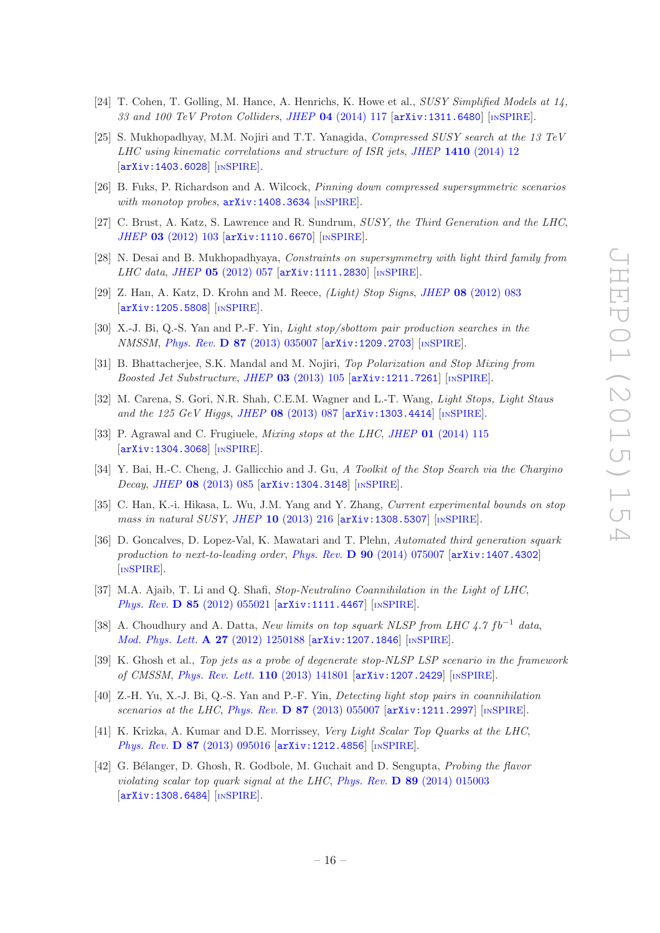- [24] T. Cohen, T. Golling, M. Hance, A. Henrichs, K. Howe et al., SUSY Simplified Models at 14, 33 and 100 TeV Proton Colliders, JHEP 04 [\(2014\) 117](http://dx.doi.org/10.1007/JHEP04(2014)117)  $\left[$ [arXiv:1311.6480](http://arxiv.org/abs/1311.6480) $\right]$  [IN[SPIRE](http://inspirehep.net/search?p=find+EPRINT+arXiv:1311.6480)].
- [25] S. Mukhopadhyay, M.M. Nojiri and T.T. Yanagida, Compressed SUSY search at the 13 TeV LHC using kinematic correlations and structure of ISR jets, JHEP 1410 [\(2014\) 12](http://dx.doi.org/10.1007/JHEP10(2014)012) [[arXiv:1403.6028](http://arxiv.org/abs/1403.6028)] [IN[SPIRE](http://inspirehep.net/search?p=find+EPRINT+arXiv:1403.6028)].
- <span id="page-16-0"></span>[26] B. Fuks, P. Richardson and A. Wilcock, Pinning down compressed supersymmetric scenarios with monotop probes,  $arXiv:1408.3634$  [IN[SPIRE](http://inspirehep.net/search?p=find+EPRINT+arXiv:1408.3634)].
- <span id="page-16-1"></span>[27] C. Brust, A. Katz, S. Lawrence and R. Sundrum, SUSY, the Third Generation and the LHC, JHEP 03 [\(2012\) 103](http://dx.doi.org/10.1007/JHEP03(2012)103) [[arXiv:1110.6670](http://arxiv.org/abs/1110.6670)] [IN[SPIRE](http://inspirehep.net/search?p=find+EPRINT+arXiv:1110.6670)].
- [28] N. Desai and B. Mukhopadhyaya, Constraints on supersymmetry with light third family from LHC data, JHEP  $05$  [\(2012\) 057](http://dx.doi.org/10.1007/JHEP05(2012)057) [[arXiv:1111.2830](http://arxiv.org/abs/1111.2830)] [IN[SPIRE](http://inspirehep.net/search?p=find+EPRINT+arXiv:1111.2830)].
- [29] Z. Han, A. Katz, D. Krohn and M. Reece, (Light) Stop Signs, JHEP 08 [\(2012\) 083](http://dx.doi.org/10.1007/JHEP08(2012)083) [[arXiv:1205.5808](http://arxiv.org/abs/1205.5808)] [IN[SPIRE](http://inspirehep.net/search?p=find+EPRINT+arXiv:1205.5808)].
- [30] X.-J. Bi, Q.-S. Yan and P.-F. Yin, Light stop/sbottom pair production searches in the NMSSM, Phys. Rev. D 87 [\(2013\) 035007](http://dx.doi.org/10.1103/PhysRevD.87.035007) [[arXiv:1209.2703](http://arxiv.org/abs/1209.2703)] [IN[SPIRE](http://inspirehep.net/search?p=find+EPRINT+arXiv:1209.2703)].
- [31] B. Bhattacherjee, S.K. Mandal and M. Nojiri, Top Polarization and Stop Mixing from *Boosted Jet Substructure, JHEP* 03 [\(2013\) 105](http://dx.doi.org/10.1007/JHEP03(2013)105)  $[\text{arXiv}:1211.7261]$   $[\text{nsPIRE}]$ .
- [32] M. Carena, S. Gori, N.R. Shah, C.E.M. Wagner and L.-T. Wang, Light Stops, Light Staus and the 125 GeV Higgs, JHEP 08 [\(2013\) 087](http://dx.doi.org/10.1007/JHEP08(2013)087) [[arXiv:1303.4414](http://arxiv.org/abs/1303.4414)] [IN[SPIRE](http://inspirehep.net/search?p=find+EPRINT+arXiv:1303.4414)].
- [33] P. Agrawal and C. Frugiuele, *Mixing stops at the LHC*, *JHEP* 01 [\(2014\) 115](http://dx.doi.org/10.1007/JHEP01(2014)115) [[arXiv:1304.3068](http://arxiv.org/abs/1304.3068)] [IN[SPIRE](http://inspirehep.net/search?p=find+EPRINT+arXiv:1304.3068)].
- [34] Y. Bai, H.-C. Cheng, J. Gallicchio and J. Gu, A Toolkit of the Stop Search via the Chargino Decay, JHEP 08 [\(2013\) 085](http://dx.doi.org/10.1007/JHEP08(2013)085) [[arXiv:1304.3148](http://arxiv.org/abs/1304.3148)] [IN[SPIRE](http://inspirehep.net/search?p=find+EPRINT+arXiv:1304.3148)].
- [35] C. Han, K.-i. Hikasa, L. Wu, J.M. Yang and Y. Zhang, *Current experimental bounds on stop* mass in natural SUSY, JHEP 10 [\(2013\) 216](http://dx.doi.org/10.1007/JHEP10(2013)216) [[arXiv:1308.5307](http://arxiv.org/abs/1308.5307)] [IN[SPIRE](http://inspirehep.net/search?p=find+EPRINT+arXiv:1308.5307)].
- [36] D. Goncalves, D. Lopez-Val, K. Mawatari and T. Plehn, Automated third generation squark production to next-to-leading order, Phys. Rev.  $D$  90 [\(2014\) 075007](http://dx.doi.org/10.1103/PhysRevD.90.075007) [[arXiv:1407.4302](http://arxiv.org/abs/1407.4302)] [IN[SPIRE](http://inspirehep.net/search?p=find+EPRINT+arXiv:1407.4302)].
- <span id="page-16-3"></span>[37] M.A. Ajaib, T. Li and Q. Shafi, Stop-Neutralino Coannihilation in the Light of LHC, Phys. Rev. D 85 [\(2012\) 055021](http://dx.doi.org/10.1103/PhysRevD.85.055021) [[arXiv:1111.4467](http://arxiv.org/abs/1111.4467)] [IN[SPIRE](http://inspirehep.net/search?p=find+EPRINT+arXiv:1111.4467)].
- [38] A. Choudhury and A. Datta, New limits on top squark NLSP from LHC 4.7  $fb^{-1}$  data, [Mod. Phys. Lett.](http://dx.doi.org/10.1142/S021773231250188X) A 27 (2012) 1250188 [[arXiv:1207.1846](http://arxiv.org/abs/1207.1846)] [IN[SPIRE](http://inspirehep.net/search?p=find+EPRINT+arXiv:1207.1846)].
- [39] K. Ghosh et al., Top jets as a probe of degenerate stop-NLSP LSP scenario in the framework of CMSSM, [Phys. Rev. Lett.](http://dx.doi.org/10.1103/PhysRevLett.110.141801) 110 (2013) 141801 [[arXiv:1207.2429](http://arxiv.org/abs/1207.2429)] [IN[SPIRE](http://inspirehep.net/search?p=find+EPRINT+arXiv:1207.2429)].
- [40] Z.-H. Yu, X.-J. Bi, Q.-S. Yan and P.-F. Yin, Detecting light stop pairs in coannihilation scenarios at the LHC, Phys. Rev. D 87 [\(2013\) 055007](http://dx.doi.org/10.1103/PhysRevD.87.055007)  $arXiv:1211.2997$  [IN[SPIRE](http://inspirehep.net/search?p=find+EPRINT+arXiv:1211.2997)].
- [41] K. Krizka, A. Kumar and D.E. Morrissey, Very Light Scalar Top Quarks at the LHC, Phys. Rev. D 87 [\(2013\) 095016](http://dx.doi.org/10.1103/PhysRevD.87.095016) [[arXiv:1212.4856](http://arxiv.org/abs/1212.4856)] [IN[SPIRE](http://inspirehep.net/search?p=find+EPRINT+arXiv:1212.4856)].
- <span id="page-16-2"></span>[42] G. Bélanger, D. Ghosh, R. Godbole, M. Guchait and D. Sengupta, *Probing the flavor* violating scalar top quark signal at the LHC, Phys. Rev. D 89 [\(2014\) 015003](http://dx.doi.org/10.1103/PhysRevD.89.015003) [[arXiv:1308.6484](http://arxiv.org/abs/1308.6484)] [IN[SPIRE](http://inspirehep.net/search?p=find+EPRINT+arXiv:1308.6484)].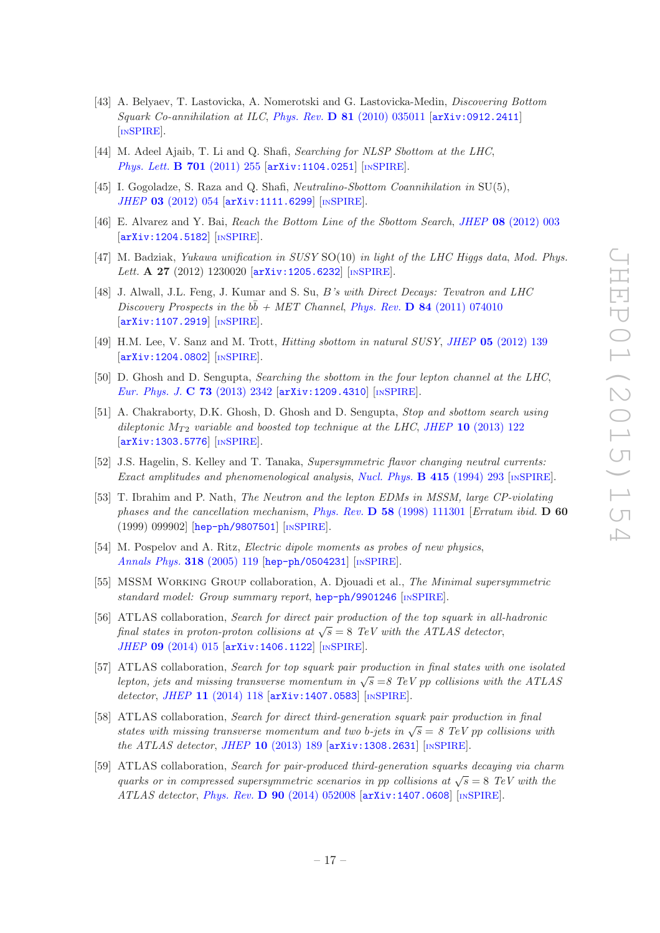- <span id="page-17-4"></span>[43] A. Belyaev, T. Lastovicka, A. Nomerotski and G. Lastovicka-Medin, Discovering Bottom Squark Co-annihilation at ILC, Phys. Rev.  $\bf{D} 81$  [\(2010\) 035011](http://dx.doi.org/10.1103/PhysRevD.81.035011) [[arXiv:0912.2411](http://arxiv.org/abs/0912.2411)] [IN[SPIRE](http://inspirehep.net/search?p=find+EPRINT+arXiv:0912.2411)].
- [44] M. Adeel Ajaib, T. Li and Q. Shafi, Searching for NLSP Sbottom at the LHC, [Phys. Lett.](http://dx.doi.org/10.1016/j.physletb.2011.05.059) **B 701** (2011) 255 [[arXiv:1104.0251](http://arxiv.org/abs/1104.0251)] [IN[SPIRE](http://inspirehep.net/search?p=find+EPRINT+arXiv:1104.0251)].
- [45] I. Gogoladze, S. Raza and Q. Shafi, *Neutralino-Sbottom Coannihilation in* SU(5), JHEP 03 [\(2012\) 054](http://dx.doi.org/10.1007/JHEP03(2012)054) [[arXiv:1111.6299](http://arxiv.org/abs/1111.6299)] [IN[SPIRE](http://inspirehep.net/search?p=find+EPRINT+arXiv:1111.6299)].
- [46] E. Alvarez and Y. Bai, Reach the Bottom Line of the Sbottom Search, JHEP 08 [\(2012\) 003](http://dx.doi.org/10.1007/JHEP08(2012)003) [[arXiv:1204.5182](http://arxiv.org/abs/1204.5182)] [IN[SPIRE](http://inspirehep.net/search?p=find+EPRINT+arXiv:1204.5182)].
- [47] M. Badziak, Yukawa unification in SUSY SO(10) in light of the LHC Higgs data, Mod. Phys. Lett. A 27 (2012) 1230020 [[arXiv:1205.6232](http://arxiv.org/abs/1205.6232)] [IN[SPIRE](http://inspirehep.net/search?p=find+EPRINT+arXiv:1205.6232)].
- [48] J. Alwall, J.L. Feng, J. Kumar and S. Su, B's with Direct Decays: Tevatron and LHC Discovery Prospects in the  $b\bar{b}$  + MET Channel, Phys. Rev. D 84 [\(2011\) 074010](http://dx.doi.org/10.1103/PhysRevD.84.074010) [[arXiv:1107.2919](http://arxiv.org/abs/1107.2919)] [IN[SPIRE](http://inspirehep.net/search?p=find+EPRINT+arXiv:1107.2919)].
- [49] H.M. Lee, V. Sanz and M. Trott, Hitting sbottom in natural SUSY, JHEP 05 [\(2012\) 139](http://dx.doi.org/10.1007/JHEP05(2012)139) [[arXiv:1204.0802](http://arxiv.org/abs/1204.0802)] [IN[SPIRE](http://inspirehep.net/search?p=find+EPRINT+arXiv:1204.0802)].
- [50] D. Ghosh and D. Sengupta, Searching the sbottom in the four lepton channel at the LHC, [Eur. Phys. J.](http://dx.doi.org/10.1140/epjc/s10052-013-2342-9) C 73 (2013) 2342 [[arXiv:1209.4310](http://arxiv.org/abs/1209.4310)] [IN[SPIRE](http://inspirehep.net/search?p=find+EPRINT+arXiv:1209.4310)].
- <span id="page-17-0"></span>[51] A. Chakraborty, D.K. Ghosh, D. Ghosh and D. Sengupta, Stop and sbottom search using dileptonic  $M_{T2}$  variable and boosted top technique at the LHC, JHEP 10 [\(2013\) 122](http://dx.doi.org/10.1007/JHEP10(2013)122) [[arXiv:1303.5776](http://arxiv.org/abs/1303.5776)] [IN[SPIRE](http://inspirehep.net/search?p=find+EPRINT+arXiv:1303.5776)].
- <span id="page-17-1"></span>[52] J.S. Hagelin, S. Kelley and T. Tanaka, Supersymmetric flavor changing neutral currents: Exact amplitudes and phenomenological analysis, [Nucl. Phys.](http://dx.doi.org/10.1016/0550-3213(94)90113-9) B 415 (1994) 293 [IN[SPIRE](http://inspirehep.net/search?p=find+J+Nucl.Phys.,B415,293)].
- <span id="page-17-2"></span>[53] T. Ibrahim and P. Nath, The Neutron and the lepton EDMs in MSSM, large CP-violating phases and the cancellation mechanism, Phys. Rev.  $\bf{D}$  58 [\(1998\) 111301](http://dx.doi.org/10.1103/PhysRevD.58.111301 10.1103/PhysRevD.60.099902) [Erratum ibid.  $\bf{D}$  60 (1999) 099902] [[hep-ph/9807501](http://arxiv.org/abs/hep-ph/9807501)] [IN[SPIRE](http://inspirehep.net/search?p=find+EPRINT+hep-ph/9807501)].
- <span id="page-17-3"></span>[54] M. Pospelov and A. Ritz, Electric dipole moments as probes of new physics, [Annals Phys.](http://dx.doi.org/10.1016/j.aop.2005.04.002) 318 (2005) 119 [[hep-ph/0504231](http://arxiv.org/abs/hep-ph/0504231)] [IN[SPIRE](http://inspirehep.net/search?p=find+EPRINT+hep-ph/0504231)].
- <span id="page-17-5"></span>[55] MSSM Working Group collaboration, A. Djouadi et al., The Minimal supersymmetric standard model: Group summary report, [hep-ph/9901246](http://arxiv.org/abs/hep-ph/9901246) [IN[SPIRE](http://inspirehep.net/search?p=find+EPRINT+hep-ph/9901246)].
- <span id="page-17-6"></span>[56] ATLAS collaboration, Search for direct pair production of the top squark in all-hadronic final states in proton-proton collisions at  $\sqrt{s} = 8$  TeV with the ATLAS detector, JHEP 09 [\(2014\) 015](http://dx.doi.org/10.1007/JHEP09(2014)015) [[arXiv:1406.1122](http://arxiv.org/abs/1406.1122)] [IN[SPIRE](http://inspirehep.net/search?p=find+EPRINT+arXiv:1406.1122)].
- <span id="page-17-7"></span>[57] ATLAS collaboration, Search for top squark pair production in final states with one isolated lepton, jets and missing transverse momentum in  $\sqrt{s} = 8$  TeV pp collisions with the ATLAS detector, JHEP 11 [\(2014\) 118](http://dx.doi.org/10.1007/JHEP11(2014)118) [[arXiv:1407.0583](http://arxiv.org/abs/1407.0583)] [IN[SPIRE](http://inspirehep.net/search?p=find+EPRINT+arXiv:1407.0583)].
- <span id="page-17-8"></span>[58] ATLAS collaboration, Search for direct third-generation squark pair production in final states with missing transverse momentum and two b-jets in  $\sqrt{s} = 8$  TeV pp collisions with the ATLAS detector, JHEP  $10$  [\(2013\) 189](http://dx.doi.org/10.1007/JHEP10(2013)189)  $\text{arXiv:1308.2631}$  $\text{arXiv:1308.2631}$  $\text{arXiv:1308.2631}$  [IN[SPIRE](http://inspirehep.net/search?p=find+EPRINT+arXiv:1308.2631)].
- <span id="page-17-9"></span>[59] ATLAS collaboration, Search for pair-produced third-generation squarks decaying via charm quarks or in compressed supersymmetric scenarios in pp collisions at  $\sqrt{s} = 8$  TeV with the  $ATLAS$  detector, Phys. Rev. D 90 [\(2014\) 052008](http://dx.doi.org/10.1103/PhysRevD.90.052008)  $\left[$ [arXiv:1407.0608](http://arxiv.org/abs/1407.0608) $\right]$  [IN[SPIRE](http://inspirehep.net/search?p=find+EPRINT+arXiv:1407.0608)].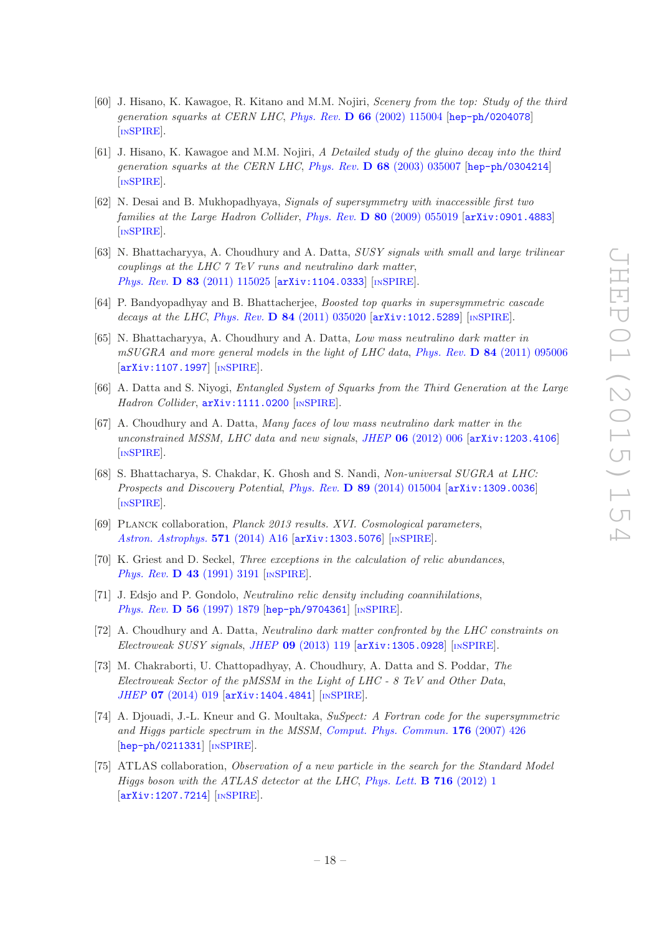- <span id="page-18-0"></span>[60] J. Hisano, K. Kawagoe, R. Kitano and M.M. Nojiri, Scenery from the top: Study of the third generation squarks at CERN LHC, Phys. Rev. D 66 [\(2002\) 115004](http://dx.doi.org/10.1103/PhysRevD.66.115004) [[hep-ph/0204078](http://arxiv.org/abs/hep-ph/0204078)] [IN[SPIRE](http://inspirehep.net/search?p=find+EPRINT+hep-ph/0204078)].
- [61] J. Hisano, K. Kawagoe and M.M. Nojiri, A Detailed study of the gluino decay into the third generation squarks at the CERN LHC, Phys. Rev. D 68 [\(2003\) 035007](http://dx.doi.org/10.1103/PhysRevD.68.035007) [[hep-ph/0304214](http://arxiv.org/abs/hep-ph/0304214)] [IN[SPIRE](http://inspirehep.net/search?p=find+EPRINT+hep-ph/0304214)].
- [62] N. Desai and B. Mukhopadhyaya, Signals of supersymmetry with inaccessible first two families at the Large Hadron Collider, Phys. Rev. D 80 [\(2009\) 055019](http://dx.doi.org/10.1103/PhysRevD.80.055019) [[arXiv:0901.4883](http://arxiv.org/abs/0901.4883)] [IN[SPIRE](http://inspirehep.net/search?p=find+EPRINT+arXiv:0901.4883)].
- [63] N. Bhattacharyya, A. Choudhury and A. Datta, SUSY signals with small and large trilinear couplings at the LHC 7 TeV runs and neutralino dark matter, Phys. Rev. **D 83** [\(2011\) 115025](http://dx.doi.org/10.1103/PhysRevD.83.115025) [[arXiv:1104.0333](http://arxiv.org/abs/1104.0333)] [IN[SPIRE](http://inspirehep.net/search?p=find+EPRINT+arXiv:1104.0333)].
- [64] P. Bandyopadhyay and B. Bhattacherjee, Boosted top quarks in supersymmetric cascade decays at the LHC, Phys. Rev.  $D$  84 [\(2011\) 035020](http://dx.doi.org/10.1103/PhysRevD.84.035020) [[arXiv:1012.5289](http://arxiv.org/abs/1012.5289)] [IN[SPIRE](http://inspirehep.net/search?p=find+EPRINT+arXiv:1012.5289)].
- [65] N. Bhattacharyya, A. Choudhury and A. Datta, Low mass neutralino dark matter in mSUGRA and more general models in the light of LHC data, Phys. Rev. D 84 [\(2011\) 095006](http://dx.doi.org/10.1103/PhysRevD.84.095006)  $\left[$ [arXiv:1107.1997](http://arxiv.org/abs/1107.1997) $\right]$  $\left[$ IN[SPIRE](http://inspirehep.net/search?p=find+EPRINT+arXiv:1107.1997) $\right]$ .
- [66] A. Datta and S. Niyogi, Entangled System of Squarks from the Third Generation at the Large Hadron Collider,  $arXiv:1111.0200$  [IN[SPIRE](http://inspirehep.net/search?p=find+EPRINT+arXiv:1111.0200)].
- [67] A. Choudhury and A. Datta, Many faces of low mass neutralino dark matter in the unconstrained MSSM, LHC data and new signals, JHEP 06 [\(2012\) 006](http://dx.doi.org/10.1007/JHEP06(2012)006) [[arXiv:1203.4106](http://arxiv.org/abs/1203.4106)] [IN[SPIRE](http://inspirehep.net/search?p=find+EPRINT+arXiv:1203.4106)].
- <span id="page-18-1"></span>[68] S. Bhattacharya, S. Chakdar, K. Ghosh and S. Nandi, Non-universal SUGRA at LHC: Prospects and Discovery Potential, Phys. Rev. D 89 [\(2014\) 015004](http://dx.doi.org/10.1103/PhysRevD.89.015004) [[arXiv:1309.0036](http://arxiv.org/abs/1309.0036)] [IN[SPIRE](http://inspirehep.net/search?p=find+EPRINT+arXiv:1309.0036)].
- <span id="page-18-2"></span>[69] Planck collaboration, Planck 2013 results. XVI. Cosmological parameters, [Astron. Astrophys.](http://dx.doi.org/10.1051/0004-6361/201321591) 571 (2014) A16 [[arXiv:1303.5076](http://arxiv.org/abs/1303.5076)] [IN[SPIRE](http://inspirehep.net/search?p=find+EPRINT+arXiv:1303.5076)].
- <span id="page-18-3"></span>[70] K. Griest and D. Seckel, *Three exceptions in the calculation of relic abundances*, Phys. Rev. **D 43** [\(1991\) 3191](http://dx.doi.org/10.1103/PhysRevD.43.3191) [IN[SPIRE](http://inspirehep.net/search?p=find+J+Phys.Rev.,D43,3191)].
- <span id="page-18-4"></span>[71] J. Edsjo and P. Gondolo, Neutralino relic density including coannihilations, Phys. Rev. **D 56** [\(1997\) 1879](http://dx.doi.org/10.1103/PhysRevD.56.1879) [[hep-ph/9704361](http://arxiv.org/abs/hep-ph/9704361)] [IN[SPIRE](http://inspirehep.net/search?p=find+J+Phys.Rev.,D56,1879)].
- <span id="page-18-5"></span>[72] A. Choudhury and A. Datta, Neutralino dark matter confronted by the LHC constraints on  $Electroweak$  SUSY signals, JHEP 09 [\(2013\) 119](http://dx.doi.org/10.1007/JHEP09(2013)119)  $\left[$ [arXiv:1305.0928](http://arxiv.org/abs/1305.0928) $\right]$  [IN[SPIRE](http://inspirehep.net/search?p=find+EPRINT+arXiv:1305.0928)].
- <span id="page-18-6"></span>[73] M. Chakraborti, U. Chattopadhyay, A. Choudhury, A. Datta and S. Poddar, The Electroweak Sector of the pMSSM in the Light of LHC - 8 TeV and Other Data, JHEP 07 [\(2014\) 019](http://dx.doi.org/10.1007/JHEP07(2014)019) [[arXiv:1404.4841](http://arxiv.org/abs/1404.4841)] [IN[SPIRE](http://inspirehep.net/search?p=find+EPRINT+arXiv:1404.4841)].
- <span id="page-18-7"></span>[74] A. Djouadi, J.-L. Kneur and G. Moultaka, SuSpect: A Fortran code for the supersymmetric and Higgs particle spectrum in the MSSM, [Comput. Phys. Commun.](http://dx.doi.org/10.1016/j.cpc.2006.11.009) 176 (2007) 426 [[hep-ph/0211331](http://arxiv.org/abs/hep-ph/0211331)] [IN[SPIRE](http://inspirehep.net/search?p=find+EPRINT+hep-ph/0211331)].
- <span id="page-18-8"></span>[75] ATLAS collaboration, Observation of a new particle in the search for the Standard Model Higgs boson with the ATLAS detector at the LHC, [Phys. Lett.](http://dx.doi.org/10.1016/j.physletb.2012.08.020)  $\bf{B}$  716 (2012) 1 [[arXiv:1207.7214](http://arxiv.org/abs/1207.7214)] [IN[SPIRE](http://inspirehep.net/search?p=find+EPRINT+arXiv:1207.7214)].